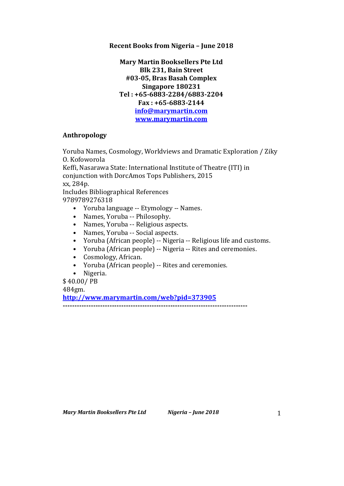# **Recent Books from Nigeria - June 2018**

**Mary Martin Booksellers Pte Ltd Blk 231, Bain Street #03-05, Bras Basah Complex Singapore 180231 Tel : +65-6883-2284/6883-2204 Fax : +65-6883-2144 info@marymartin.com www.marymartin.com**

# **Anthropology**

Yoruba Names, Cosmology, Worldviews and Dramatic Exploration / Ziky O. Kofoworola

Keffi, Nasarawa State: International Institute of Theatre (ITI) in conjunction with DorcAmos Tops Publishers, 2015 xx, 284p. Includes Bibliographical References

9789789276318

- Yoruba language -- Etymology -- Names.
- Names, Yoruba -- Philosophy.
- Names, Yoruba -- Religious aspects.
- Names, Yoruba -- Social aspects.
- Yoruba (African people) -- Nigeria -- Religious life and customs.
- Yoruba (African people) -- Nigeria -- Rites and ceremonies.
- Cosmology, African.
- Yoruba (African people) -- Rites and ceremonies.
- Nigeria.

\$ 40.00/ PB 484gm.

**http://www.marymartin.com/web?pid=373905 -------------------------------------------------------------------------------**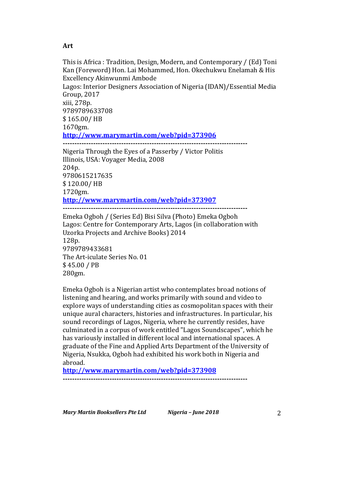### **Art**

280gm.

This is Africa : Tradition, Design, Modern, and Contemporary / (Ed) Toni Kan (Foreword) Hon. Lai Mohammed, Hon. Okechukwu Enelamah & His Excellency Akinwunmi Ambode Lagos: Interior Designers Association of Nigeria (IDAN)/Essential Media Group, 2017 xiii, 278p. 9789789633708 \$ 165.00/ HB 1670gm. **http://www.marymartin.com/web?pid=373906 -------------------------------------------------------------------------------** Nigeria Through the Eyes of a Passerby / Victor Politis Illinois, USA: Voyager Media, 2008 204p. 9780615217635 \$ 120.00/ HB 1720gm. **http://www.marymartin.com/web?pid=373907 -------------------------------------------------------------------------------** Emeka Ogboh / (Series Ed) Bisi Silva (Photo) Emeka Ogboh Lagos: Centre for Contemporary Arts, Lagos (in collaboration with Uzorka Projects and Archive Books) 2014 128p. 9789789433681 The Art-iculate Series No. 01 \$ 45.00 / PB

Emeka Ogboh is a Nigerian artist who contemplates broad notions of listening and hearing, and works primarily with sound and video to explore ways of understanding cities as cosmopolitan spaces with their unique aural characters, histories and infrastructures. In particular, his sound recordings of Lagos, Nigeria, where he currently resides, have culminated in a corpus of work entitled "Lagos Soundscapes", which he has variously installed in different local and international spaces. A graduate of the Fine and Applied Arts Department of the University of Nigeria, Nsukka, Ogboh had exhibited his work both in Nigeria and abroad.

**http://www.marymartin.com/web?pid=373908 -------------------------------------------------------------------------------**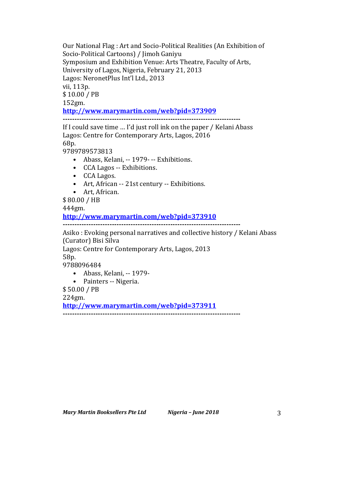Our National Flag: Art and Socio-Political Realities (An Exhibition of Socio-Political Cartoons) / Jimoh Ganiyu Symposium and Exhibition Venue: Arts Theatre, Faculty of Arts, University of Lagos, Nigeria, February 21, 2013 Lagos: NeronetPlus Int'l Ltd., 2013 vii, 113p. \$ 10.00 / PB 152gm. **http://www.marymartin.com/web?pid=373909 ----------------------------------------------------------------------------**

If I could save time  $\ldots$  I'd just roll ink on the paper / Kelani Abass Lagos: Centre for Contemporary Arts, Lagos, 2016 68p.

9789789573813

- Abass, Kelani, -- 1979- -- Exhibitions.
- CCA Lagos -- Exhibitions.
- CCA Lagos.
- Art, African -- 21st century -- Exhibitions.
- Art, African.

\$ 80.00 / HB

444gm.

**http://www.marymartin.com/web?pid=373910**

**----------------------------------------------------------------------------**

Asiko: Evoking personal narratives and collective history / Kelani Abass (Curator) Bisi Silva

Lagos: Centre for Contemporary Arts, Lagos, 2013

58p.

9788096484

- Abass, Kelani, -- 1979-
- Painters -- Nigeria.

\$ 50.00 / PB

224gm.

**http://www.marymartin.com/web?pid=373911 ----------------------------------------------------------------------------**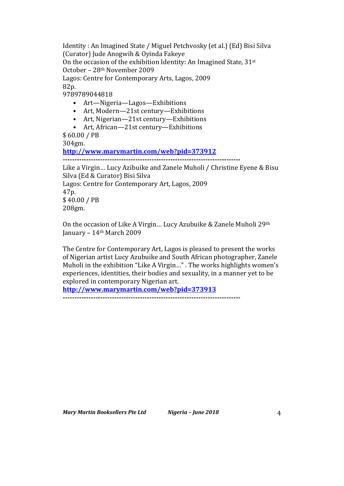Identity : An Imagined State / Miguel Petchvosky (et al.) (Ed) Bisi Silva (Curator) Jude Anogwih & Oyinda Fakeye On the occasion of the exhibition Identity: An Imagined State,  $31^{st}$ 

October - 28<sup>th</sup> November 2009

Lagos: Centre for Contemporary Arts, Lagos, 2009 82p.

9789789044818

- Art—Nigeria—Lagos—Exhibitions
- Art, Modern-21st century-Exhibitions
- Art, Nigerian—21st century—Exhibitions
- Art, African—21st century—Exhibitions

\$ 60.00 / PB 304gm.

**http://www.marymartin.com/web?pid=373912**

```
----------------------------------------------------------------------------
```
Like a Virgin... Lucy Azibuike and Zanele Muholi / Christine Eyene & Bisu Silva (Ed & Curator) Bisi Silva Lagos: Centre for Contemporary Art, Lagos, 2009 47p. \$ 40.00 / PB 208gm.

On the occasion of Like A Virgin... Lucy Azubuike & Zanele Muholi  $29<sup>th</sup>$ January –  $14<sup>th</sup>$  March 2009

The Centre for Contemporary Art, Lagos is pleased to present the works of Nigerian artist Lucy Azubuike and South African photographer, Zanele Muholi in the exhibition "Like A Virgin..." . The works highlights women's experiences, identities, their bodies and sexuality, in a manner yet to be explored in contemporary Nigerian art.

**http://www.marymartin.com/web?pid=373913 ----------------------------------------------------------------------------**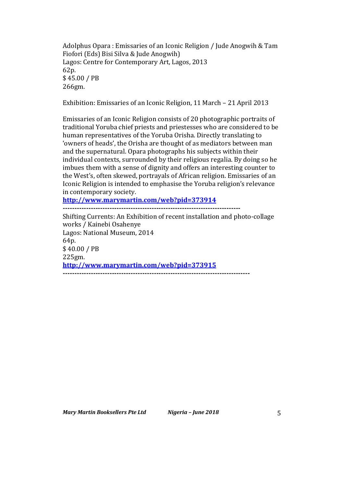Adolphus Opara: Emissaries of an Iconic Religion / Jude Anogwih & Tam Fiofori (Eds) Bisi Silva & Jude Anogwih) Lagos: Centre for Contemporary Art, Lagos, 2013 62p. \$ 45.00 / PB 266gm.

Exhibition: Emissaries of an Iconic Religion, 11 March - 21 April 2013

Emissaries of an Iconic Religion consists of 20 photographic portraits of traditional Yoruba chief priests and priestesses who are considered to be human representatives of the Yoruba Orisha. Directly translating to 'owners of heads', the Orisha are thought of as mediators between man and the supernatural. Opara photographs his subjects within their individual contexts, surrounded by their religious regalia. By doing so he imbues them with a sense of dignity and offers an interesting counter to the West's, often skewed, portrayals of African religion. Emissaries of an Iconic Religion is intended to emphasise the Yoruba religion's relevance in contemporary society.

**http://www.marymartin.com/web?pid=373914**

**----------------------------------------------------------------------------**

Shifting Currents: An Exhibition of recent installation and photo-collage works / Kainebi Osahenye Lagos: National Museum, 2014 64p. \$ 40.00 / PB 225gm. **http://www.marymartin.com/web?pid=373915 --------------------------------------------------------------------------------**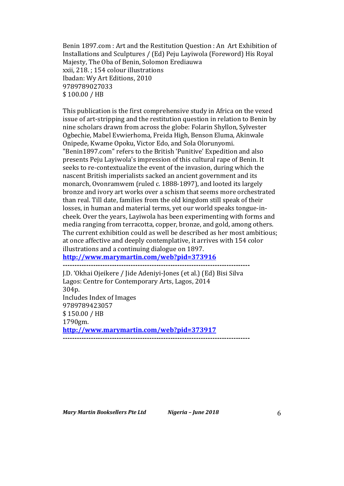Benin 1897.com : Art and the Restitution Question : An Art Exhibition of Installations and Sculptures / (Ed) Peju Layiwola (Foreword) His Royal Majesty, The Oba of Benin, Solomon Erediauwa xxii, 218. ; 154 colour illustrations Ibadan: Wy Art Editions, 2010 9789789027033 \$ 100.00 / HB

This publication is the first comprehensive study in Africa on the vexed issue of art-stripping and the restitution question in relation to Benin by nine scholars drawn from across the globe: Folarin Shyllon, Sylvester Ogbechie, Mabel Evwierhoma, Freida High, Benson Eluma, Akinwale Onipede, Kwame Opoku, Victor Edo, and Sola Olorunyomi. "Benin1897.com" refers to the British 'Punitive' Expedition and also presents Peju Layiwola's impression of this cultural rape of Benin. It seeks to re-contextualize the event of the invasion, during which the nascent British imperialists sacked an ancient government and its monarch, Ovonramwem (ruled c. 1888-1897), and looted its largely bronze and ivory art works over a schism that seems more orchestrated than real. Till date, families from the old kingdom still speak of their losses, in human and material terms, yet our world speaks tongue-incheek. Over the years, Layiwola has been experimenting with forms and media ranging from terracotta, copper, bronze, and gold, among others. The current exhibition could as well be described as her most ambitious; at once affective and deeply contemplative, it arrives with 154 color illustrations and a continuing dialogue on 1897.

**http://www.marymartin.com/web?pid=373916**

**--------------------------------------------------------------------------------**

J.D. 'Okhai Ojeikere / Jide Adeniyi-Jones (et al.) (Ed) Bisi Silva Lagos: Centre for Contemporary Arts, Lagos, 2014 304p. Includes Index of Images 9789789423057 \$ 150.00 / HB 1790gm. **http://www.marymartin.com/web?pid=373917 --------------------------------------------------------------------------------**

*Mary Martin Booksellers Pte Ltd Nigeria – June 2018* 6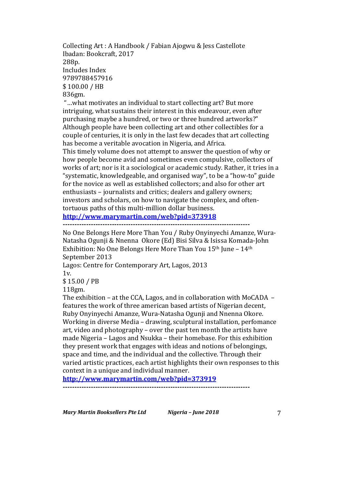Collecting Art : A Handbook / Fabian Ajogwu & Jess Castellote Ibadan: Bookcraft, 2017 288p. Includes Index 9789788457916 \$ 100.00 / HB 836gm.

"...what motivates an individual to start collecting art? But more intriguing, what sustains their interest in this endeavour, even after purchasing maybe a hundred, or two or three hundred artworks?" Although people have been collecting art and other collectibles for a couple of centuries, it is only in the last few decades that art collecting has become a veritable avocation in Nigeria, and Africa.

This timely volume does not attempt to answer the question of why or how people become avid and sometimes even compulsive, collectors of works of art; nor is it a sociological or academic study. Rather, it tries in a "systematic, knowledgeable, and organised way", to be a "how-to" guide for the novice as well as established collectors; and also for other art enthusiasts – journalists and critics; dealers and gallery owners; investors and scholars, on how to navigate the complex, and oftentortuous paths of this multi-million dollar business.

**http://www.marymartin.com/web?pid=373918**

**--------------------------------------------------------------------------------**

No One Belongs Here More Than You / Ruby Onyinyechi Amanze, Wura-Natasha Ogunji & Nnenna Okore (Ed) Bisi Silva & Isissa Komada-John Exhibition: No One Belongs Here More Than You  $15<sup>th</sup>$  June –  $14<sup>th</sup>$ September 2013

Lagos: Centre for Contemporary Art, Lagos, 2013 1v.

\$ 15.00 / PB

118gm.

The exhibition – at the CCA, Lagos, and in collaboration with MoCADA  $$ features the work of three american based artists of Nigerian decent, Ruby Onvinyechi Amanze, Wura-Natasha Ogunii and Nnenna Okore. Working in diverse Media – drawing, sculptural installation, perfomance art, video and photography  $-$  over the past ten month the artists have made Nigeria – Lagos and Nsukka – their homebase. For this exhibition they present work that engages with ideas and notions of belongings, space and time, and the individual and the collective. Through their varied artistic practices, each artist highlights their own responses to this context in a unique and individual manner.

**http://www.marymartin.com/web?pid=373919**

**--------------------------------------------------------------------------------**

*Mary Martin Booksellers Pte Ltd Nigeria – June 2018* 7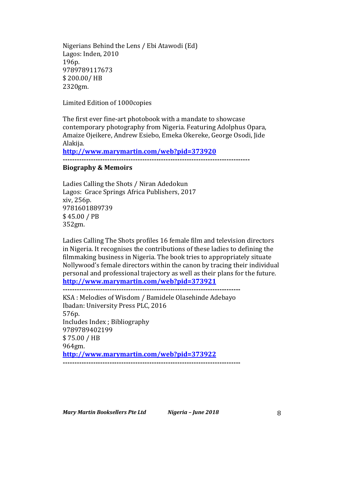Nigerians Behind the Lens / Ebi Atawodi (Ed) Lagos: Inden, 2010 196p. 9789789117673 \$ 200.00/ HB 2320gm.

Limited Edition of 1000copies

The first ever fine-art photobook with a mandate to showcase contemporary photography from Nigeria. Featuring Adolphus Opara, Amaize Ojeikere, Andrew Esiebo, Emeka Okereke, George Osodi, Jide Alakija.

**http://www.marymartin.com/web?pid=373920**

**--------------------------------------------------------------------------------**

### **Biography & Memoirs**

Ladies Calling the Shots / Niran Adedokun Lagos: Grace Springs Africa Publishers, 2017 xiv, 256p. 9781601889739 \$ 45.00 / PB 352gm.

Ladies Calling The Shots profiles 16 female film and television directors in Nigeria. It recognises the contributions of these ladies to defining the filmmaking business in Nigeria. The book tries to appropriately situate Nollywood's female directors within the canon by tracing their individual personal and professional trajectory as well as their plans for the future. **http://www.marymartin.com/web?pid=373921**

**----------------------------------------------------------------------------**

KSA: Melodies of Wisdom / Bamidele Olasehinde Adebayo Ibadan: University Press PLC, 2016 576p. Includes Index ; Bibliography 9789789402199 \$ 75.00 / HB 964gm. **http://www.marymartin.com/web?pid=373922 ----------------------------------------------------------------------------**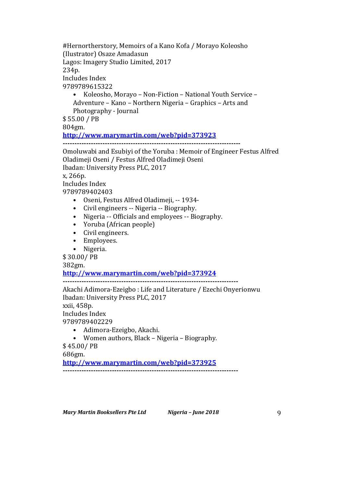#Hernortherstory, Memoirs of a Kano Kofa / Morayo Koleosho (Ilustrator) Osaze Amadasun Lagos: Imagery Studio Limited, 2017 234p. Includes Index 9789789615322

• Koleosho, Morayo - Non-Fiction - National Youth Service -Adventure – Kano – Northern Nigeria – Graphics – Arts and Photography - Journal

\$ 55.00 / PB

804gm.

**http://www.marymartin.com/web?pid=373923**

**----------------------------------------------------------------------------**

Omoluwabi and Esubivi of the Yoruba : Memoir of Engineer Festus Alfred Oladimeji Oseni / Festus Alfred Oladimeji Oseni Ibadan: University Press PLC, 2017

x, 266p.

Includes Index

9789789402403

- Oseni, Festus Alfred Oladimeji, -- 1934-
- Civil engineers -- Nigeria -- Biography.
- Nigeria -- Officials and employees -- Biography.
- Yoruba (African people)
- Civil engineers.
- Employees.
- Nigeria.

\$ 30.00/ PB

382gm.

# **http://www.marymartin.com/web?pid=373924**

**---------------------------------------------------------------------------** Akachi Adimora-Ezeigbo : Life and Literature / Ezechi Onyerionwu Ibadan: University Press PLC, 2017 xxii, 458p. Includes Index 9789789402229

• Adimora-Ezeigbo, Akachi.

• Women authors, Black – Nigeria – Biography. \$ 45.00/ PB

686gm.

**http://www.marymartin.com/web?pid=373925**

**---------------------------------------------------------------------------**

*Mary Martin Booksellers Pte Ltd Nigeria – June 2018* 9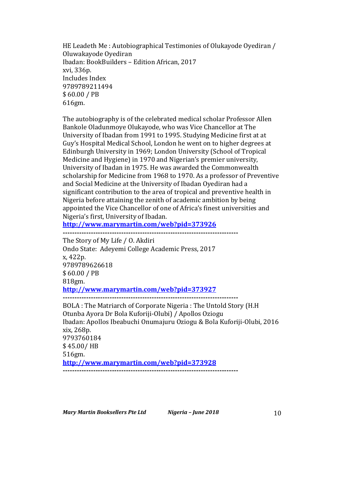HE Leadeth Me: Autobiographical Testimonies of Olukayode Oyediran / Oluwakayode Oyediran Ibadan: BookBuilders - Edition African, 2017 xvi, 336p. Includes Index 9789789211494 \$ 60.00 / PB 616gm.

The autobiography is of the celebrated medical scholar Professor Allen Bankole Oladunmoye Olukayode, who was Vice Chancellor at The University of Ibadan from 1991 to 1995. Studying Medicine first at at Guy's Hospital Medical School, London he went on to higher degrees at Edinburgh University in 1969: London University (School of Tropical Medicine and Hygiene) in 1970 and Nigerian's premier university, University of Ibadan in 1975. He was awarded the Commonwealth scholarship for Medicine from 1968 to 1970. As a professor of Preventive and Social Medicine at the University of Ibadan Oyediran had a significant contribution to the area of tropical and preventive health in Nigeria before attaining the zenith of academic ambition by being appointed the Vice Chancellor of one of Africa's finest universities and Nigeria's first, University of Ibadan.

**http://www.marymartin.com/web?pid=373926**

**---------------------------------------------------------------------------** The Story of My Life / O. Akdiri Ondo State: Adeyemi College Academic Press, 2017 x, 422p. 9789789626618 \$ 60.00 / PB 818gm. **http://www.marymartin.com/web?pid=373927 ---------------------------------------------------------------------------** BOLA : The Matriarch of Corporate Nigeria : The Untold Story (H.H) Otunba Ayora Dr Bola Kuforiji-Olubi) / Apollos Oziogu Ibadan: Apollos Ibeabuchi Onumajuru Oziogu & Bola Kuforiji-Olubi, 2016

xix, 268p. 9793760184 \$ 45.00/ HB 516gm. **http://www.marymartin.com/web?pid=373928 ---------------------------------------------------------------------------**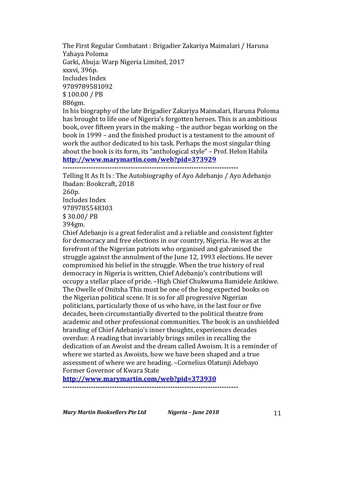The First Regular Combatant : Brigadier Zakariya Maimalari / Haruna Yahaya Poloma Garki, Abuja: Warp Nigeria Limited, 2017 xxxvi, 396p. Includes Index 9789789581092 \$ 100.00 / PB 886gm. In his biography of the late Brigadier Zakariya Maimalari, Haruna Poloma has brought to life one of Nigeria's forgotten heroes. This is an ambitious

book, over fifteen years in the making – the author began working on the book in 1999 – and the finished product is a testament to the amount of work the author dedicated to his task. Perhaps the most singular thing about the book is its form, its "anthological style" – Prof. Helon Habila **http://www.marymartin.com/web?pid=373929**

**---------------------------------------------------------------------------**

Telling It As It Is: The Autobiography of Ayo Adebanjo / Ayo Adebanjo Ibadan: Bookcraft, 2018 260p. Includes Index 9789785548303 \$ 30.00/ PB 394gm. Chief Adebanjo is a great federalist and a reliable and consistent fighter

for democracy and free elections in our country, Nigeria. He was at the forefront of the Nigerian patriots who organised and galvanised the struggle against the annulment of the June 12, 1993 elections. He never compromised his belief in the struggle. When the true history of real democracy in Nigeria is written, Chief Adebanjo's contributions will occupy a stellar place of pride. -High Chief Chukwuma Bamidele Azikiwe. The Owelle of Onitsha This must be one of the long expected books on the Nigerian political scene. It is so for all progressive Nigerian politicians, particularly those of us who have, in the last four or five decades, been circumstantially diverted to the political theatre from academic and other professional communities. The book is an unshielded branding of Chief Adebanjo's inner thoughts, experiences decades overdue: A reading that invariably brings smiles in recalling the dedication of an Awoist and the dream called Awoism. It is a reminder of where we started as Awoists, how we have been shaped and a true assessment of where we are heading. -Cornelius Olatunji Adebayo Former Governor of Kwara State

**http://www.marymartin.com/web?pid=373930**

*Mary Martin Booksellers Pte Ltd Nigeria* – *June 2018* 11

**---------------------------------------------------------------------------**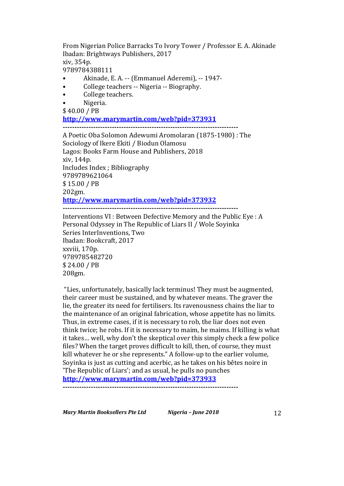From Nigerian Police Barracks To Ivory Tower / Professor E. A. Akinade Ibadan: Brightways Publishers, 2017 xiv, 354p. 9789784388111

- Akinade, E. A. -- (Emmanuel Aderemi), -- 1947-
- College teachers -- Nigeria -- Biography.
- College teachers.
- Nigeria.
- \$ 40.00 / PB

**http://www.marymartin.com/web?pid=373931**

**---------------------------------------------------------------------------**

A Poetic Oba Solomon Adewumi Aromolaran (1875-1980) : The Sociology of Ikere Ekiti / Biodun Olamosu Lagos: Books Farm House and Publishers, 2018 xiv, 144p. Includes Index ; Bibliography 9789789621064 \$ 15.00 / PB 202gm. **http://www.marymartin.com/web?pid=373932 ---------------------------------------------------------------------------**

Interventions VI : Between Defective Memory and the Public Eye : A Personal Odyssey in The Republic of Liars II / Wole Soyinka Series InterInventions, Two Ibadan: Bookcraft, 2017 xxviii, 170p. 9789785482720 \$ 24.00 / PB 208gm.

"Lies, unfortunately, basically lack terminus! They must be augmented, their career must be sustained, and by whatever means. The graver the lie, the greater its need for fertilisers. Its ravenousness chains the liar to the maintenance of an original fabrication, whose appetite has no limits. Thus, in extreme cases, if it is necessary to rob, the liar does not even think twice; he robs. If it is necessary to maim, he maims. If killing is what it takes... well, why don't the skeptical over this simply check a few police files? When the target proves difficult to kill, then, of course, they must kill whatever he or she represents." A follow-up to the earlier volume, Soyinka is just as cutting and acerbic, as he takes on his bêtes noire in 'The Republic of Liars'; and as usual, he pulls no punches

**http://www.marymartin.com/web?pid=373933**

**---------------------------------------------------------------------------**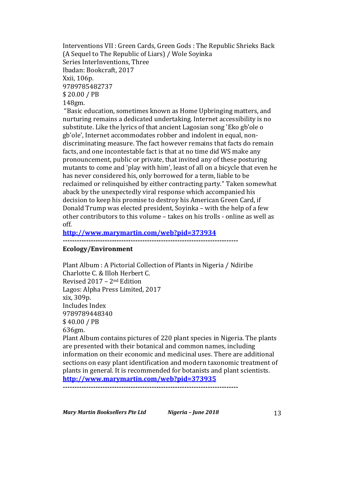Interventions VII : Green Cards, Green Gods : The Republic Shrieks Back (A Sequel to The Republic of Liars) / Wole Soyinka Series InterInventions, Three Ibadan: Bookcraft, 2017 Xxii, 106p. 9789785482737 \$ 20.00 / PB 148gm.

"Basic education, sometimes known as Home Upbringing matters, and nurturing remains a dedicated undertaking. Internet accessibility is no substitute. Like the lyrics of that ancient Lagosian song 'Eko gb'ole o gb'ole', Internet accommodates robber and indolent in equal, nondiscriminating measure. The fact however remains that facts do remain facts, and one incontestable fact is that at no time did WS make any pronouncement, public or private, that invited any of these posturing mutants to come and 'play with him', least of all on a bicycle that even he has never considered his, only borrowed for a term, liable to be reclaimed or relinquished by either contracting party." Taken somewhat aback by the unexpectedly viral response which accompanied his decision to keep his promise to destroy his American Green Card, if Donald Trump was elected president, Soyinka - with the help of a few other contributors to this volume  $-$  takes on his trolls - online as well as off.

#### **http://www.marymartin.com/web?pid=373934**

**---------------------------------------------------------------------------**

### **Ecology/Environment**

Plant Album : A Pictorial Collection of Plants in Nigeria / Ndiribe Charlotte C. & Illoh Herbert C. Revised  $2017 - 2<sup>nd</sup>$  Edition Lagos: Alpha Press Limited, 2017 xix, 309p. Includes Index 9789789448340 \$40.00 / PB 636gm. Plant Album contains pictures of 220 plant species in Nigeria. The plants are presented with their botanical and common names, including information on their economic and medicinal uses. There are additional sections on easy plant identification and modern taxonomic treatment of

plants in general. It is recommended for botanists and plant scientists.

**http://www.marymartin.com/web?pid=373935 ---------------------------------------------------------------------------**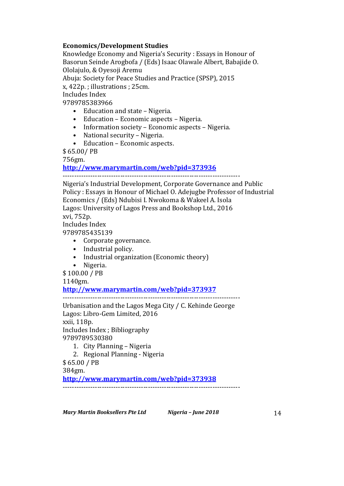## **Economics/Development Studies**

Knowledge Economy and Nigeria's Security : Essays in Honour of Basorun Seinde Arogbofa / (Eds) Isaac Olawale Albert, Babajide O. Ololajulo, & Oyesoji Aremu

Abuja: Society for Peace Studies and Practice (SPSP), 2015

x, 422p. ; illustrations ; 25cm.

Includes Index

9789785383966

- Education and state Nigeria.
- Education Economic aspects Nigeria.
- Information society Economic aspects Nigeria.
- National security Nigeria.
- Education Economic aspects.

\$ 65.00/ PB

756gm.

**http://www.marymartin.com/web?pid=373936**

-----------------------------------------------------------------------------

Nigeria's Industrial Development, Corporate Governance and Public Policy : Essays in Honour of Michael O. Adejugbe Professor of Industrial Economics / (Eds) Ndubisi I. Nwokoma & Wakeel A. Isola Lagos: University of Lagos Press and Bookshop Ltd., 2016 xvi, 752p. Includes Index

9789785435139

- Corporate governance.
- Industrial policy.
- Industrial organization (Economic theory)
- Nigeria.

 $$100.00 / PB$ 

1140gm.

**http://www.marymartin.com/web?pid=373937**

-----------------------------------------------------------------------------

Urbanisation and the Lagos Mega City / C. Kehinde George Lagos: Libro-Gem Limited, 2016 xxii, 118p. Includes Index; Bibliography 9789789530380

1. City Planning - Nigeria

2. Regional Planning - Nigeria

 $$65.00 / PB$ 

384gm.

**http://www.marymartin.com/web?pid=373938**

-----------------------------------------------------------------------------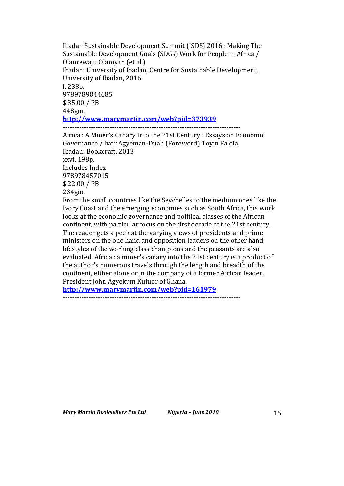Ibadan Sustainable Development Summit (ISDS) 2016 : Making The Sustainable Development Goals (SDGs) Work for People in Africa / Olanrewaju Olaniyan (et al.) Ibadan: University of Ibadan, Centre for Sustainable Development, University of Ibadan, 2016 l, 238p. 9789789844685 \$ 35.00 / PB 448gm. **http://www.marymartin.com/web?pid=373939 ----------------------------------------------------------------------------**

Africa : A Miner's Canary Into the 21st Century : Essays on Economic Governance / Ivor Agyeman-Duah (Foreword) Toyin Falola Ibadan: Bookcraft, 2013 xxvi, 198p. Includes Index 978978457015 \$ 22.00 / PB 234gm. From the small countries like the Seychelles to the medium ones like the Ivory Coast and the emerging economies such as South Africa, this work looks at the economic governance and political classes of the African continent, with particular focus on the first decade of the 21st century. The reader gets a peek at the varying views of presidents and prime ministers on the one hand and opposition leaders on the other hand; lifestyles of the working class champions and the peasants are also

evaluated. Africa : a miner's canary into the 21st century is a product of the author's numerous travels through the length and breadth of the continent, either alone or in the company of a former African leader, President John Agyekum Kufuor of Ghana.

**http://www.marymartin.com/web?pid=161979**

**----------------------------------------------------------------------------**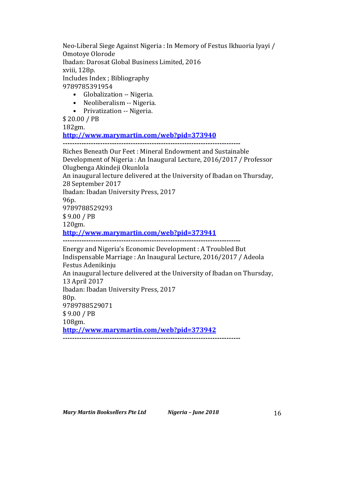Neo-Liberal Siege Against Nigeria : In Memory of Festus Ikhuoria Iyayi / Omotoye Olorode

Ibadan: Darosat Global Business Limited, 2016

xviii, 128p.

Includes Index ; Bibliography

9789785391954

- Globalization -- Nigeria.
- Neoliberalism -- Nigeria.
- Privatization -- Nigeria.

\$ 20.00 / PB

182gm.

**http://www.marymartin.com/web?pid=373940**

**----------------------------------------------------------------------------**

Riches Beneath Our Feet : Mineral Endowment and Sustainable Development of Nigeria : An Inaugural Lecture, 2016/2017 / Professor Olugbenga Akindeji Okunlola An inaugural lecture delivered at the University of Ibadan on Thursday, 28 September 2017 Ibadan: Ibadan University Press, 2017 96p. 9789788529293 \$ 9.00 / PB 120gm. **http://www.marymartin.com/web?pid=373941 ----------------------------------------------------------------------------** Energy and Nigeria's Economic Development : A Troubled But Indispensable Marriage : An Inaugural Lecture, 2016/2017 / Adeola Festus Adenikinju An inaugural lecture delivered at the University of Ibadan on Thursday, 13 April 2017

Ibadan: Ibadan University Press, 2017

80p.

9789788529071

\$ 9.00 / PB

108gm.

**http://www.marymartin.com/web?pid=373942**

**----------------------------------------------------------------------------**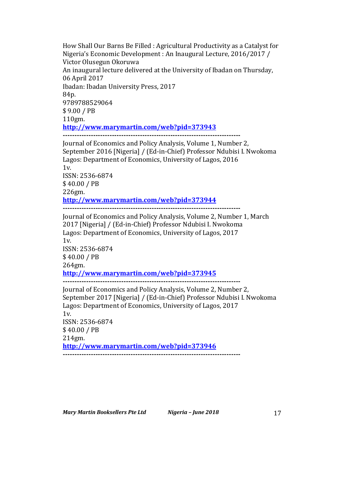How Shall Our Barns Be Filled : Agricultural Productivity as a Catalyst for Nigeria's Economic Development : An Inaugural Lecture, 2016/2017 / Victor Olusegun Okoruwa An inaugural lecture delivered at the University of Ibadan on Thursday, 06 April 2017 Ibadan: Ibadan University Press, 2017 84p. 9789788529064 \$ 9.00 / PB 110gm. **http://www.marymartin.com/web?pid=373943 ----------------------------------------------------------------------------**

Journal of Economics and Policy Analysis, Volume 1, Number 2, September 2016 [Nigeria] / (Ed-in-Chief) Professor Ndubisi I. Nwokoma Lagos: Department of Economics, University of Lagos, 2016 1v. ISSN: 2536-6874 \$ 40.00 / PB 226gm. **http://www.marymartin.com/web?pid=373944 ----------------------------------------------------------------------------** Journal of Economics and Policy Analysis, Volume 2, Number 1, March

2017 [Nigeria] / (Ed-in-Chief) Professor Ndubisi I. Nwokoma Lagos: Department of Economics, University of Lagos, 2017  $1v.$ ISSN: 2536-6874 \$ 40.00 / PB 264gm. **http://www.marymartin.com/web?pid=373945 ----------------------------------------------------------------------------** Journal of Economics and Policy Analysis, Volume 2, Number 2, September 2017 [Nigeria] / (Ed-in-Chief) Professor Ndubisi I. Nwokoma

Lagos: Department of Economics, University of Lagos, 2017 1v. ISSN: 2536-6874 \$ 40.00 / PB 214gm. **http://www.marymartin.com/web?pid=373946 ----------------------------------------------------------------------------**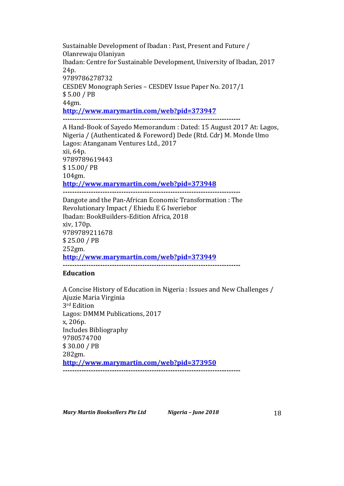Sustainable Development of Ibadan : Past, Present and Future / Olanrewaju Olaniyan Ibadan: Centre for Sustainable Development, University of Ibadan, 2017 24p. 9789786278732 CESDEV Monograph Series - CESDEV Issue Paper No. 2017/1 \$ 5.00 / PB 44gm. **http://www.marymartin.com/web?pid=373947 ----------------------------------------------------------------------------**

A Hand-Book of Sayedo Memorandum : Dated: 15 August 2017 At: Lagos, Nigeria / (Authenticated & Foreword) Dede (Rtd. Cdr) M. Monde Umo Lagos: Atanganam Ventures Ltd., 2017 xii, 64p. 9789789619443 \$ 15.00/ PB 104gm. **http://www.marymartin.com/web?pid=373948 ----------------------------------------------------------------------------**

Dangote and the Pan-African Economic Transformation : The Revolutionary Impact / Ehiedu E G Iweriebor Ibadan: BookBuilders-Edition Africa, 2018 xiv, 170p. 9789789211678 \$ 25.00 / PB 252gm. **http://www.marymartin.com/web?pid=373949 ----------------------------------------------------------------------------**

#### **Education**

A Concise History of Education in Nigeria : Issues and New Challenges / Ajuzie Maria Virginia 3rd Edition Lagos: DMMM Publications, 2017 x, 206p. Includes Bibliography 9780574700 \$ 30.00 / PB 282gm. **http://www.marymartin.com/web?pid=373950 ----------------------------------------------------------------------------**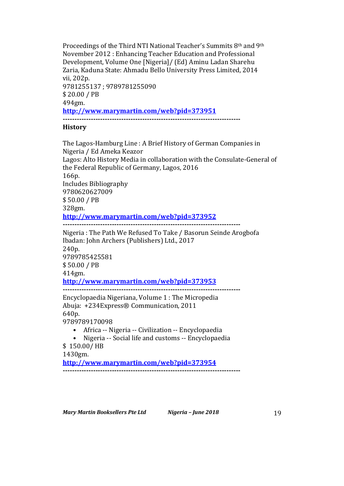Proceedings of the Third NTI National Teacher's Summits  $8<sup>th</sup>$  and  $9<sup>th</sup>$ November 2012 : Enhancing Teacher Education and Professional Development, Volume One [Nigeria]/ (Ed) Aminu Ladan Sharehu Zaria, Kaduna State: Ahmadu Bello University Press Limited, 2014 vii, 202p. 9781255137; 9789781255090 \$ 20.00 / PB 494gm. **http://www.marymartin.com/web?pid=373951 ----------------------------------------------------------------------------**

### **History**

The Lagos-Hamburg Line : A Brief History of German Companies in Nigeria / Ed Ameka Keazor Lagos: Alto History Media in collaboration with the Consulate-General of the Federal Republic of Germany, Lagos, 2016 166p. Includes Bibliography 9780620627009 \$ 50.00 / PB 328gm. **http://www.marymartin.com/web?pid=373952 ----------------------------------------------------------------------------** Nigeria: The Path We Refused To Take / Basorun Seinde Arogbofa Ibadan: John Archers (Publishers) Ltd., 2017 240p. 9789785425581 \$ 50.00 / PB 414gm. **http://www.marymartin.com/web?pid=373953 ----------------------------------------------------------------------------** Encyclopaedia Nigeriana, Volume 1 : The Micropedia Abuja: +234Express® Communication, 2011 640p. 9789789170098 • Africa -- Nigeria -- Civilization -- Encyclopaedia • Nigeria -- Social life and customs -- Encyclopaedia \$ 150.00/ HB 1430gm. **http://www.marymartin.com/web?pid=373954 ----------------------------------------------------------------------------**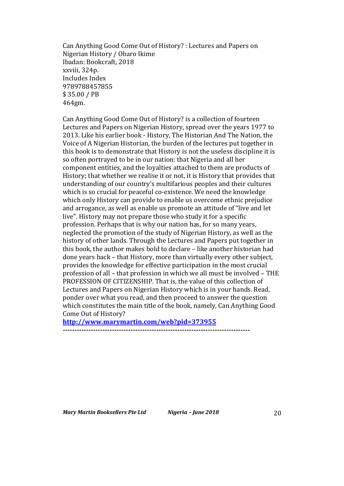Can Anything Good Come Out of History? : Lectures and Papers on Nigerian History / Obaro Ikime Ibadan: Bookcraft, 2018 xxviii, 324p. Includes Index 9789788457855 \$ 35.00 / PB 464gm.

Can Anything Good Come Out of History? is a collection of fourteen Lectures and Papers on Nigerian History, spread over the years 1977 to 2013. Like his earlier book - History, The Historian And The Nation, the Voice of A Nigerian Historian, the burden of the lectures put together in this book is to demonstrate that History is not the useless discipline it is so often portrayed to be in our nation: that Nigeria and all her component entities, and the loyalties attached to them are products of History; that whether we realise it or not, it is History that provides that understanding of our country's multifarious peoples and their cultures which is so crucial for peaceful co-existence. We need the knowledge which only History can provide to enable us overcome ethnic prejudice and arrogance, as well as enable us promote an attitude of "live and let live". History may not prepare those who study it for a specific profession. Perhaps that is why our nation has, for so many years, neglected the promotion of the study of Nigerian History, as well as the history of other lands. Through the Lectures and Papers put together in this book, the author makes bold to declare - like another historian had done years back – that History, more than virtually every other subject, provides the knowledge for effective participation in the most crucial profession of all - that profession in which we all must be involved - THE PROFESSION OF CITIZENSHIP. That is, the value of this collection of Lectures and Papers on Nigerian History which is in your hands. Read, ponder over what you read, and then proceed to answer the question which constitutes the main title of the book, namely, Can Anything Good Come Out of History?

**http://www.marymartin.com/web?pid=373955**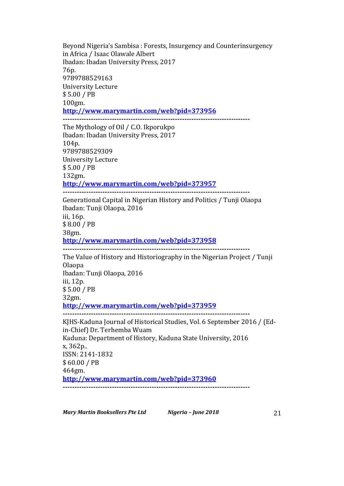*Mary Martin Booksellers Pte Ltd Nigeria* – *June 2018* 21 Beyond Nigeria's Sambisa: Forests, Insurgency and Counterinsurgency in Africa / Isaac Olawale Albert Ibadan: Ibadan University Press, 2017 76p. 9789788529163 University Lecture \$ 5.00 / PB 100gm. **http://www.marymartin.com/web?pid=373956 --------------------------------------------------------------------------------** The Mythology of Oil / C.O. Ikporukpo Ibadan: Ibadan University Press, 2017 104p. 9789788529309 University Lecture \$ 5.00 / PB 132gm. **http://www.marymartin.com/web?pid=373957 --------------------------------------------------------------------------------** Generational Capital in Nigerian History and Politics / Tunji Olaopa Ibadan: Tunji Olaopa, 2016 iii, 16p. \$ 8.00 / PB 38gm. **http://www.marymartin.com/web?pid=373958 --------------------------------------------------------------------------------** The Value of History and Historiography in the Nigerian Project / Tunji Olaopa Ibadan: Tunji Olaopa, 2016 iii, 12p. \$ 5.00 / PB 32gm. **http://www.marymartin.com/web?pid=373959 --------------------------------------------------------------------------------** KJHS-Kaduna Journal of Historical Studies, Vol. 6 September 2016 / (Edin-Chief) Dr. Terhemba Wuam Kaduna: Department of History, Kaduna State University, 2016 x, 362p.. ISSN: 2141-1832 \$ 60.00 / PB 464gm. **http://www.marymartin.com/web?pid=373960 --------------------------------------------------------------------------------**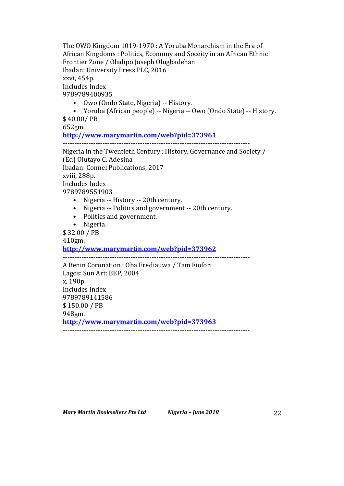The OWO Kingdom 1019-1970 : A Yoruba Monarchism in the Era of African Kingdoms : Politics, Economy and Soceity in an African Ethnic Frontier Zone / Oladipo Joseph Olugbadehan Ibadan: University Press PLC, 2016 xxvi, 454p. Includes Index 9789789400935

• Owo (Ondo State, Nigeria) -- History.

• Yoruba (African people) -- Nigeria -- Owo (Ondo State) -- History. \$ 40.00/ PB

652gm.

**http://www.marymartin.com/web?pid=373961 --------------------------------------------------------------------------------**

Nigeria in the Twentieth Century : History, Governance and Society / (Ed) Olutayo C. Adesina Ibadan: Connel Publications, 2017 xviii, 288p. Includes Index 9789789551903

- Nigeria -- History -- 20th century.
- Nigeria -- Politics and government -- 20th century.
- Politics and government.
- Nigeria.

\$ 32.00 / PB

410gm.

**http://www.marymartin.com/web?pid=373962**

**--------------------------------------------------------------------------------**

A Benin Coronation : Oba Erediauwa / Tam Fiofori Lagos: Sun Art: BEP, 2004 x, 190p. Includes Index 9789789141586 \$ 150.00 / PB 948gm. **http://www.marymartin.com/web?pid=373963 --------------------------------------------------------------------------------**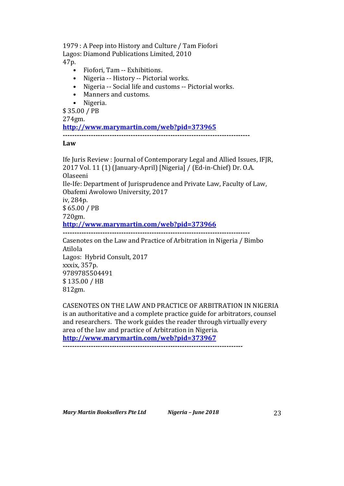1979 : A Peep into History and Culture / Tam Fiofori

Lagos: Diamond Publications Limited, 2010 47p.

- Fiofori, Tam -- Exhibitions.
- Nigeria -- History -- Pictorial works.
- Nigeria -- Social life and customs -- Pictorial works.
- Manners and customs.
- Nigeria.

\$ 35.00 / PB

274gm. **http://www.marymartin.com/web?pid=373965**

**--------------------------------------------------------------------------------**

# **Law**

Ife Juris Review : Journal of Contemporary Legal and Allied Issues, IFJR, 2017 Vol. 11 (1) (January-April) [Nigeria] / (Ed-in-Chief) Dr. O.A. Olaseeni Ile-Ife: Department of Jurisprudence and Private Law, Faculty of Law, Obafemi Awolowo University, 2017 iv, 284p. \$ 65.00 / PB 720gm. **http://www.marymartin.com/web?pid=373966 --------------------------------------------------------------------------------** Casenotes on the Law and Practice of Arbitration in Nigeria / Bimbo Atilola Lagos: Hybrid Consult, 2017 xxxix, 357p. 9789785504491 \$ 135.00 / HB 812gm.

CASENOTES ON THE LAW AND PRACTICE OF ARBITRATION IN NIGERIA is an authoritative and a complete practice guide for arbitrators, counsel and researchers. The work guides the reader through virtually every area of the law and practice of Arbitration in Nigeria. **http://www.marymartin.com/web?pid=373967**

**-----------------------------------------------------------------------------**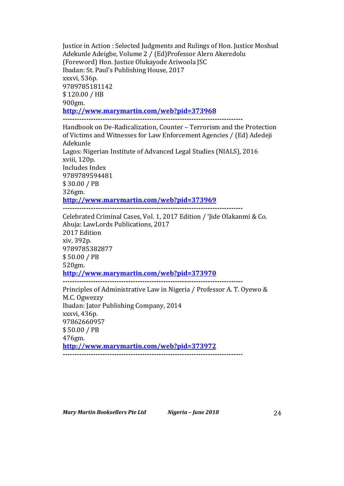Justice in Action : Selected Judgments and Rulings of Hon. Justice Moshud Adekunle Adeigbe, Volume 2 / (Ed)Professor Alero Akeredolu (Foreword) Hon. Justice Olukayode Ariwoola JSC Ibadan: St. Paul's Publishing House, 2017 xxxvi, 536p. 9789785181142 \$ 120.00 / HB 900gm. **http://www.marymartin.com/web?pid=373968 -----------------------------------------------------------------------------**

Handbook on De-Radicalization, Counter - Terrorism and the Protection of Victims and Witnesses for Law Enforcement Agencies / (Ed) Adedeji Adekunle Lagos: Nigerian Institute of Advanced Legal Studies (NIALS), 2016 xviii, 120p. Includes Index 9789789594481 \$ 30.00 / PB 326gm. **http://www.marymartin.com/web?pid=373969 -----------------------------------------------------------------------------**

Celebrated Criminal Cases, Vol. 1, 2017 Edition / 'Jide Olakanmi & Co. Abuja: LawLords Publications, 2017 2017 Edition xiv, 392p. 9789785382877 \$ 50.00 / PB 520gm. **http://www.marymartin.com/web?pid=373970 -----------------------------------------------------------------------------**

Principles of Administrative Law in Nigeria / Professor A. T. Oyewo & M.C. Ogwezzy Ibadan: Jator Publishing Company, 2014 xxxvi, 436p. 97862660957 \$ 50.00 / PB 476gm. **http://www.marymartin.com/web?pid=373972 -----------------------------------------------------------------------------**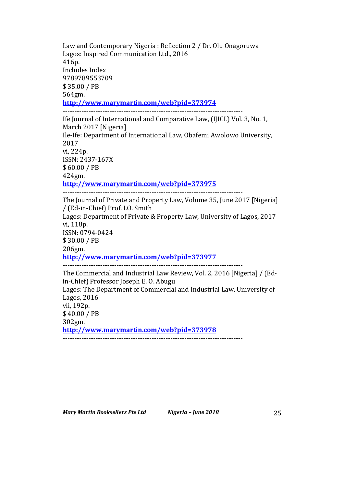Law and Contemporary Nigeria : Reflection 2 / Dr. Olu Onagoruwa Lagos: Inspired Communication Ltd., 2016 416p. Includes Index 9789789553709 \$ 35.00 / PB 564gm. **http://www.marymartin.com/web?pid=373974 -----------------------------------------------------------------------------** Ife Journal of International and Comparative Law, (IJICL) Vol. 3, No. 1, March 2017 [Nigeria] Ile-Ife: Department of International Law, Obafemi Awolowo University, 2017 vi, 224p. ISSN: 2437-167X \$ 60.00 / PB 424gm. **http://www.marymartin.com/web?pid=373975 -----------------------------------------------------------------------------** The Journal of Private and Property Law, Volume 35, June 2017 [Nigeria] / (Ed-in-Chief) Prof. I.O. Smith Lagos: Department of Private & Property Law, University of Lagos, 2017 vi, 118p. ISSN: 0794-0424 \$ 30.00 / PB 206gm. **http://www.marymartin.com/web?pid=373977 -----------------------------------------------------------------------------** The Commercial and Industrial Law Review, Vol. 2, 2016 [Nigeria] / (Edin-Chief) Professor Joseph E. O. Abugu Lagos: The Department of Commercial and Industrial Law, University of Lagos, 2016 vii, 192p. \$ 40.00 / PB 302gm. **http://www.marymartin.com/web?pid=373978 -----------------------------------------------------------------------------**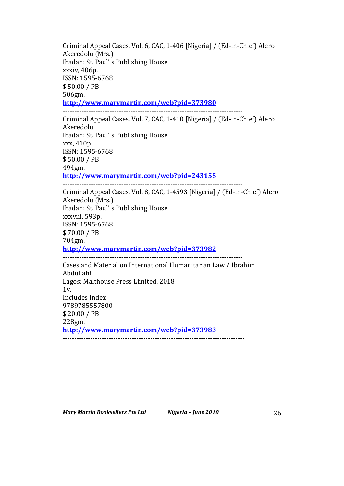Criminal Appeal Cases, Vol. 6, CAC, 1-406 [Nigeria] / (Ed-in-Chief) Alero Akeredolu (Mrs.) Ibadan: St. Paul's Publishing House xxxiv, 406p. ISSN: 1595-6768 \$ 50.00 / PB 506gm. **http://www.marymartin.com/web?pid=373980 -----------------------------------------------------------------------------** Criminal Appeal Cases, Vol. 7, CAC, 1-410 [Nigeria] / (Ed-in-Chief) Alero Akeredolu Ibadan: St. Paul's Publishing House xxx, 410p. ISSN: 1595-6768 \$ 50.00 / PB 494gm. **http://www.marymartin.com/web?pid=243155 -----------------------------------------------------------------------------** Criminal Appeal Cases, Vol. 8, CAC, 1-4593 [Nigeria] / (Ed-in-Chief) Alero Akeredolu (Mrs.) Ibadan: St. Paul's Publishing House xxxviii, 593p. ISSN: 1595-6768 \$ 70.00 / PB 704gm. **http://www.marymartin.com/web?pid=373982 -----------------------------------------------------------------------------** Cases and Material on International Humanitarian Law / Ibrahim

Abdullahi Lagos: Malthouse Press Limited, 2018 1v. Includes Index 9789785557800 \$ 20.00 / PB 228gm. **http://www.marymartin.com/web?pid=373983** -------------------------------------------------------------------------------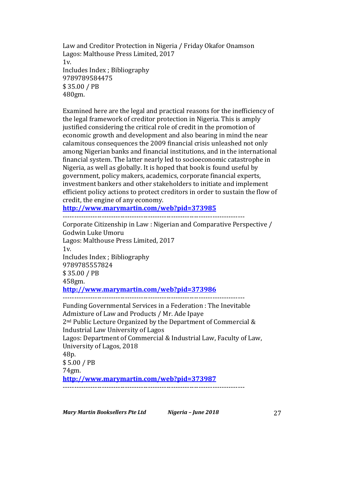Law and Creditor Protection in Nigeria / Friday Okafor Onamson Lagos: Malthouse Press Limited, 2017  $1v<sub>l</sub>$ Includes Index ; Bibliography 9789789584475 \$ 35.00 / PB 480gm.

Examined here are the legal and practical reasons for the inefficiency of the legal framework of creditor protection in Nigeria. This is amply justified considering the critical role of credit in the promotion of economic growth and development and also bearing in mind the near calamitous consequences the 2009 financial crisis unleashed not only among Nigerian banks and financial institutions, and in the international financial system. The latter nearly led to socioeconomic catastrophe in Nigeria, as well as globally. It is hoped that book is found useful by government, policy makers, academics, corporate financial experts, investment bankers and other stakeholders to initiate and implement efficient policy actions to protect creditors in order to sustain the flow of credit, the engine of any economy.

**http://www.marymartin.com/web?pid=373985**

------------------------------------------------------------------------------- Corporate Citizenship in Law : Nigerian and Comparative Perspective / Godwin Luke Umoru Lagos: Malthouse Press Limited, 2017 1v. Includes Index ; Bibliography 9789785557824 \$ 35.00 / PB 458gm. **http://www.marymartin.com/web?pid=373986** ------------------------------------------------------------------------------- Funding Governmental Services in a Federation : The Inevitable Admixture of Law and Products / Mr. Ade Ipaye  $2<sup>nd</sup>$  Public Lecture Organized by the Department of Commercial & Industrial Law University of Lagos Lagos: Department of Commercial & Industrial Law, Faculty of Law. University of Lagos, 2018 48p. \$ 5.00 / PB 74gm. **http://www.marymartin.com/web?pid=373987** -------------------------------------------------------------------------------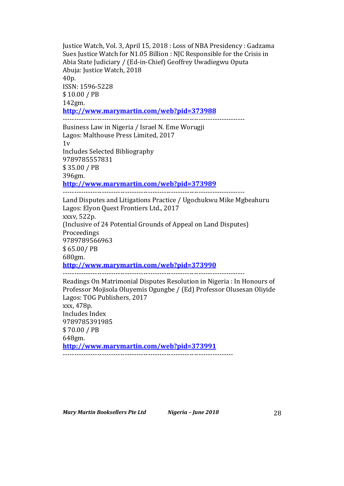Justice Watch, Vol. 3, April 15, 2018 : Loss of NBA Presidency : Gadzama Sues Justice Watch for N1.05 Billion : NJC Responsible for the Crisis in Abia State Judiciary / (Ed-in-Chief) Geoffrey Uwadiegwu Oputa Abuja: Justice Watch, 2018 40p. ISSN: 1596-5228 \$ 10.00 / PB 142gm. **http://www.marymartin.com/web?pid=373988**

Business Law in Nigeria / Israel N. Eme Worugji Lagos: Malthouse Press Limited, 2017  $1v$ Includes Selected Bibliography 9789785557831 \$ 35.00 / PB 396gm. **http://www.marymartin.com/web?pid=373989** -------------------------------------------------------------------------------

-------------------------------------------------------------------------------

Land Disputes and Litigations Practice / Ugochukwu Mike Mgbeahuru Lagos: Elyon Quest Frontiers Ltd., 2017 xxxv, 522p. (Inclusive of 24 Potential Grounds of Appeal on Land Disputes) Proceedings 9789789566963 \$ 65.00/ PB 680gm. **http://www.marymartin.com/web?pid=373990** -------------------------------------------------------------------------------

Readings On Matrimonial Disputes Resolution in Nigeria : In Honours of Professor Mojisola Oluyemis Ogungbe / (Ed) Professor Olusesan Oliyide Lagos: TOG Publishers, 2017 xxx, 478p. Includes Index 9789785391985 \$ 70.00 / PB 648gm. **http://www.marymartin.com/web?pid=373991** --------------------------------------------------------------------------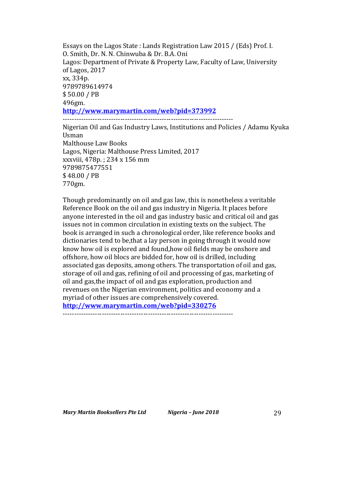Essays on the Lagos State : Lands Registration Law 2015 / (Eds) Prof. I. 0. Smith, Dr. N. N. Chinwuba & Dr. B.A. Oni Lagos: Department of Private & Property Law, Faculty of Law, University of Lagos, 2017 xx, 334p. 9789789614974 \$ 50.00 / PB 496gm. **http://www.marymartin.com/web?pid=373992** --------------------------------------------------------------------------

Nigerian Oil and Gas Industry Laws, Institutions and Policies / Adamu Kyuka Usman **Malthouse Law Books** Lagos, Nigeria: Malthouse Press Limited, 2017 xxxviii, 478p.; 234 x 156 mm 9789875477551 \$ 48.00 / PB 770gm.

Though predominantly on oil and gas law, this is nonetheless a veritable Reference Book on the oil and gas industry in Nigeria. It places before anyone interested in the oil and gas industry basic and critical oil and gas issues not in common circulation in existing texts on the subject. The book is arranged in such a chronological order, like reference books and dictionaries tend to be, that a lay person in going through it would now know how oil is explored and found,how oil fields may be onshore and offshore, how oil blocs are bidded for, how oil is drilled, including associated gas deposits, among others. The transportation of oil and gas, storage of oil and gas, refining of oil and processing of gas, marketing of oil and gas,the impact of oil and gas exploration, production and revenues on the Nigerian environment, politics and economy and a myriad of other issues are comprehensively covered. **http://www.marymartin.com/web?pid=330276** --------------------------------------------------------------------------

*Mary Martin Booksellers Pte Ltd Nigeria – June 2018* 29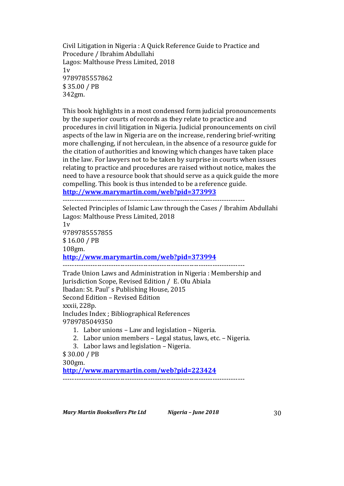Civil Litigation in Nigeria : A Quick Reference Guide to Practice and Procedure / Ibrahim Abdullahi Lagos: Malthouse Press Limited, 2018  $1v$ 9789785557862 \$ 35.00 / PB 342gm.

This book highlights in a most condensed form judicial pronouncements by the superior courts of records as they relate to practice and procedures in civil litigation in Nigeria. Judicial pronouncements on civil aspects of the law in Nigeria are on the increase, rendering brief-writing more challenging, if not herculean, in the absence of a resource guide for the citation of authorities and knowing which changes have taken place in the law. For lawyers not to be taken by surprise in courts when issues relating to practice and procedures are raised without notice, makes the need to have a resource book that should serve as a quick guide the more compelling. This book is thus intended to be a reference guide.

**http://www.marymartin.com/web?pid=373993**

------------------------------------------------------------------------------- Selected Principles of Islamic Law through the Cases / Ibrahim Abdullahi Lagos: Malthouse Press Limited, 2018  $1v$ 9789785557855 \$ 16.00 / PB 108gm. **http://www.marymartin.com/web?pid=373994** ------------------------------------------------------------------------------- Trade Union Laws and Administration in Nigeria : Membership and Jurisdiction Scope, Revised Edition / E. Olu Abiala Ibadan: St. Paul's Publishing House, 2015 Second Edition – Revised Edition xxxii, 228p. Includes Index ; Bibliographical References 9789785049350 1. Labor unions - Law and legislation - Nigeria. 2. Labor union members - Legal status, laws, etc. - Nigeria. 3. Labor laws and legislation - Nigeria. \$ 30.00 / PB 300gm.

**http://www.marymartin.com/web?pid=223424** -------------------------------------------------------------------------------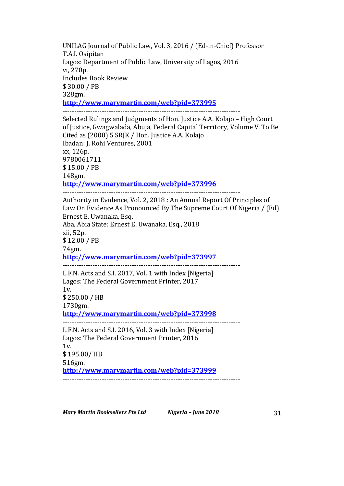UNILAG Journal of Public Law, Vol. 3, 2016 / (Ed-in-Chief) Professor T.A.I. Osipitan Lagos: Department of Public Law, University of Lagos, 2016 vi, 270p. Includes Book Review \$ 30.00 / PB 328gm. **http://www.marymartin.com/web?pid=373995** ----------------------------------------------------------------------------- Selected Rulings and Judgments of Hon. Justice A.A. Kolajo – High Court of Justice, Gwagwalada, Abuja, Federal Capital Territory, Volume V, To Be Cited as (2000) 5 SRJK / Hon. Justice A.A. Kolajo Ibadan: J. Rohi Ventures, 2001 xx, 126p. 9780061711 \$ 15.00 / PB 148gm. **http://www.marymartin.com/web?pid=373996** ----------------------------------------------------------------------------- Authority in Evidence, Vol. 2, 2018 : An Annual Report Of Principles of Law On Evidence As Pronounced By The Supreme Court Of Nigeria / (Ed) Ernest E. Uwanaka, Esq. Aba, Abia State: Ernest E. Uwanaka, Esq., 2018 xii, 52p. \$ 12.00 / PB 74gm. **http://www.marymartin.com/web?pid=373997** ----------------------------------------------------------------------------- L.F.N. Acts and S.I. 2017, Vol. 1 with Index [Nigeria] Lagos: The Federal Government Printer, 2017 1v. \$ 250.00 / HB 1730gm. **http://www.marymartin.com/web?pid=373998** ----------------------------------------------------------------------------- L.F.N. Acts and S.I. 2016, Vol. 3 with Index [Nigeria] Lagos: The Federal Government Printer, 2016 1v. \$ 195.00/ HB 516gm. **http://www.marymartin.com/web?pid=373999**

-----------------------------------------------------------------------------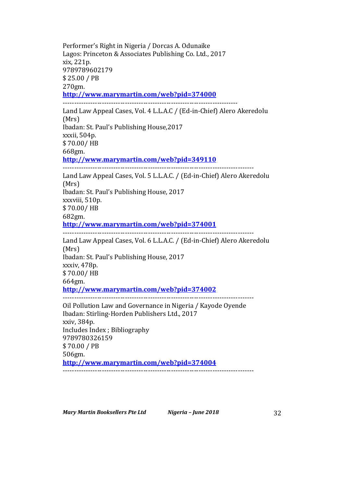Performer's Right in Nigeria / Dorcas A. Odunaike Lagos: Princeton & Associates Publishing Co. Ltd., 2017 xix, 221p. 9789789602179 \$ 25.00 / PB 270gm. **http://www.marymartin.com/web?pid=374000** ---------------------------------------------------------------------------- Land Law Appeal Cases, Vol. 4 L.L.A.C / (Ed-in-Chief) Alero Akeredolu (Mrs) Ibadan: St. Paul's Publishing House, 2017 xxxii, 504p. \$ 70.00/ HB 668gm. **http://www.marymartin.com/web?pid=349110** ----------------------------------------------------------------------------------- Land Law Appeal Cases, Vol. 5 L.L.A.C. / (Ed-in-Chief) Alero Akeredolu (Mrs) Ibadan: St. Paul's Publishing House, 2017 xxxviii, 510p. \$ 70.00/ HB 682gm. **http://www.marymartin.com/web?pid=374001** ----------------------------------------------------------------------------------- Land Law Appeal Cases, Vol. 6 L.L.A.C. / (Ed-in-Chief) Alero Akeredolu (Mrs) Ibadan: St. Paul's Publishing House, 2017 xxxiv, 478p. \$ 70.00/ HB 664gm. **http://www.marymartin.com/web?pid=374002** ----------------------------------------------------------------------------------- Oil Pollution Law and Governance in Nigeria / Kayode Oyende Ibadan: Stirling-Horden Publishers Ltd., 2017 xxiv, 384p. Includes Index; Bibliography 9789780326159 \$ 70.00 / PB 506gm. **http://www.marymartin.com/web?pid=374004** -----------------------------------------------------------------------------------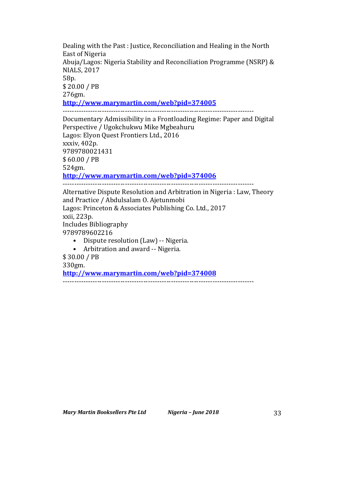Dealing with the Past : Justice, Reconciliation and Healing in the North East of Nigeria Abuja/Lagos: Nigeria Stability and Reconciliation Programme (NSRP) & **NIALS, 2017** 58p. \$ 20.00 / PB 276gm. **http://www.marymartin.com/web?pid=374005** ----------------------------------------------------------------------------------- Documentary Admissibility in a Frontloading Regime: Paper and Digital Perspective / Ugokchukwu Mike Mgbeahuru Lagos: Elyon Quest Frontiers Ltd., 2016 xxxiv, 402p. 9789780021431

\$ 60.00 / PB 524gm.

**http://www.marymartin.com/web?pid=374006**

-----------------------------------------------------------------------------------

Alternative Dispute Resolution and Arbitration in Nigeria : Law, Theory and Practice / Abdulsalam O. Ajetunmobi Lagos: Princeton & Associates Publishing Co. Ltd., 2017 xxii, 223p. Includes Bibliography 9789789602216 • Dispute resolution (Law) -- Nigeria. • Arbitration and award -- Nigeria. \$ 30.00 / PB 330gm.

**http://www.marymartin.com/web?pid=374008**

-----------------------------------------------------------------------------------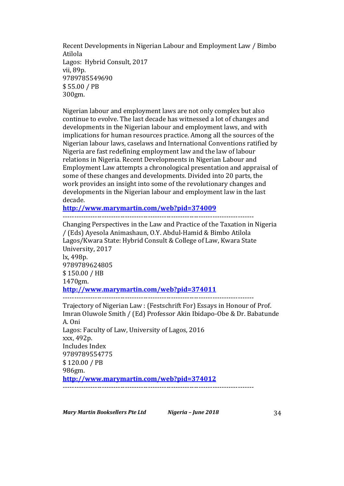Recent Developments in Nigerian Labour and Employment Law / Bimbo Atilola Lagos: Hybrid Consult, 2017 vii, 89p. 9789785549690 \$ 55.00 / PB 300gm.

Nigerian labour and employment laws are not only complex but also continue to evolve. The last decade has witnessed a lot of changes and developments in the Nigerian labour and employment laws, and with implications for human resources practice. Among all the sources of the Nigerian labour laws, caselaws and International Conventions ratified by Nigeria are fast redefining employment law and the law of labour relations in Nigeria. Recent Developments in Nigerian Labour and Employment Law attempts a chronological presentation and appraisal of some of these changes and developments. Divided into 20 parts, the work provides an insight into some of the revolutionary changes and developments in the Nigerian labour and employment law in the last decade.

**http://www.marymartin.com/web?pid=374009**

 $-$ 

Changing Perspectives in the Law and Practice of the Taxation in Nigeria / (Eds) Ayesola Animashaun, O.Y. Abdul-Hamid & Bimbo Atilola Lagos/Kwara State: Hybrid Consult & College of Law, Kwara State University, 2017 lx, 498p. 9789789624805 \$ 150.00 / HB 1470gm. **http://www.marymartin.com/web?pid=374011** -----------------------------------------------------------------------------------

Trajectory of Nigerian Law : (Festschrift For) Essays in Honour of Prof. Imran Oluwole Smith / (Ed) Professor Akin Ibidapo-Obe & Dr. Babatunde A. Oni Lagos: Faculty of Law, University of Lagos, 2016 xxx, 492p. Includes Index 9789789554775 \$ 120.00 / PB 986gm. **http://www.marymartin.com/web?pid=374012** -----------------------------------------------------------------------------------

*Mary Martin Booksellers Pte Ltd Nigeria – June 2018* 34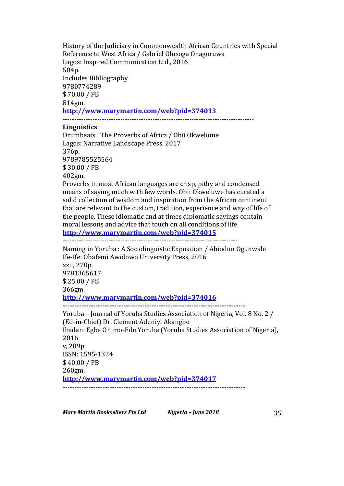History of the Judiciary in Commonwealth African Countries with Special Reference to West Africa / Gabriel Olusoga Onagoruwa Lagos: Inspired Communication Ltd., 2016 504p. Includes Bibliography 9780774289 \$ 70.00 / PB 814gm. **http://www.marymartin.com/web?pid=374013** -----------------------------------------------------------------------------------

#### **Linguistics**

Drumbeats : The Proverbs of Africa / Obii Okwelume Lagos: Narrative Landscape Press, 2017 376p. 9789785525564 \$ 30.00 / PB 402gm. Proverbs in most African languages are crisp, pithy and condensed

means of saying much with few words. Obii Okweluwe has curated a solid collection of wisdom and inspiration from the African continent that are relevant to the custom, tradition, experience and way of life of the people. These idiomatic and at times diplomatic sayings contain moral lessons and advice that touch on all conditions of life **http://www.marymartin.com/web?pid=374015**

----------------------------------------------------------------------------

Naming in Yoruba : A Sociolinguistic Exposition / Abiodun Ogunwale Ife-Ife: Obafemi Awolowo University Press, 2016 xxii, 270p. 9781365617 \$ 25.00 / PB 366gm. **http://www.marymartin.com/web?pid=374016 ------------------------------------------------------------------------------** Yoruba – Journal of Yoruba Studies Association of Nigeria, Vol. 8 No. 2 / (Ed-in-Chief) Dr. Clement Adeniyi Akangbe

Ibadan: Egbe Onimo-Ede Yoruba (Yoruba Studies Association of Nigeria), 2016 v, 209p. ISSN: 1595-1324 \$ 40.00 / PB 260gm. **http://www.marymartin.com/web?pid=374017**

**------------------------------------------------------------------------------**

*Mary Martin Booksellers Pte Ltd Nigeria – June 2018* 35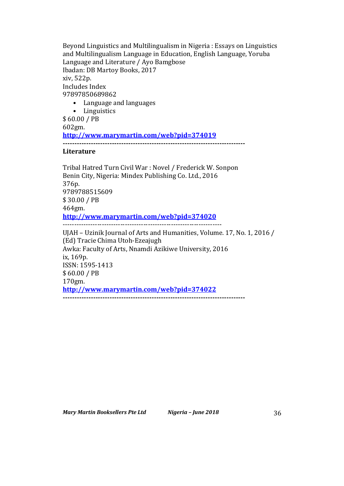Beyond Linguistics and Multilingualism in Nigeria : Essays on Linguistics and Multilingualism Language in Education, English Language, Yoruba Language and Literature / Ayo Bamgbose Ibadan: DB Martoy Books, 2017 xiv, 522p. Includes Index 97897850689862

# • Language and languages

• Linguistics

\$ 60.00 / PB 602gm. **http://www.marymartin.com/web?pid=374019 ------------------------------------------------------------------------------**

### **Literature**

Tribal Hatred Turn Civil War : Novel / Frederick W. Sonpon Benin City, Nigeria: Mindex Publishing Co. Ltd., 2016 376p. 9789788515609 \$ 30.00 / PB 464gm. **http://www.marymartin.com/web?pid=374020** --------------------------------------------------------------------- UJAH - Uzinik Journal of Arts and Humanities, Volume. 17, No. 1, 2016 / (Ed) Tracie Chima Utoh-Ezeajugh Awka: Faculty of Arts, Nnamdi Azikiwe University, 2016 ix, 169p. ISSN: 1595-1413  $$60.00 / PB$ 170gm. **http://www.marymartin.com/web?pid=374022 ------------------------------------------------------------------------------**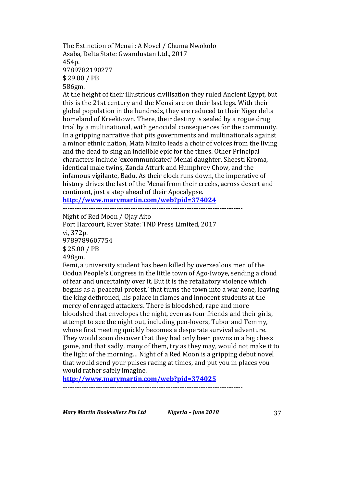The Extinction of Menai: A Novel / Chuma Nwokolo Asaba, Delta State: Gwandustan Ltd., 2017 454p. 9789782190277 \$ 29.00 / PB 586gm.

At the height of their illustrious civilisation they ruled Ancient Egypt, but this is the 21st century and the Menai are on their last legs. With their global population in the hundreds, they are reduced to their Niger delta homeland of Kreektown. There, their destiny is sealed by a rogue drug trial by a multinational, with genocidal consequences for the community. In a gripping narrative that pits governments and multinationals against a minor ethnic nation, Mata Nimito leads a choir of voices from the living and the dead to sing an indelible epic for the times. Other Principal characters include 'excommunicated' Menai daughter, Sheesti Kroma, identical male twins, Zanda Atturk and Humphrey Chow, and the infamous vigilante, Badu. As their clock runs down, the imperative of history drives the last of the Menai from their creeks, across desert and continent, just a step ahead of their Apocalypse.

**http://www.marymartin.com/web?pid=374024**

**-----------------------------------------------------------------------------**

Night of Red Moon / Ojay Aito Port Harcourt, River State: TND Press Limited, 2017 vi, 372p. 9789789607754 \$ 25.00 / PB 498gm.

Femi, a university student has been killed by overzealous men of the Oodua People's Congress in the little town of Ago-Iwoye, sending a cloud of fear and uncertainty over it. But it is the retaliatory violence which begins as a 'peaceful protest,' that turns the town into a war zone, leaving the king dethroned, his palace in flames and innocent students at the mercy of enraged attackers. There is bloodshed, rape and more bloodshed that envelopes the night, even as four friends and their girls, attempt to see the night out, including pen-lovers, Tubor and Temmy, whose first meeting quickly becomes a desperate survival adventure. They would soon discover that they had only been pawns in a big chess game, and that sadly, many of them, try as they may, would not make it to the light of the morning... Night of a Red Moon is a gripping debut novel that would send your pulses racing at times, and put you in places you would rather safely imagine.

**http://www.marymartin.com/web?pid=374025**

**-----------------------------------------------------------------------------**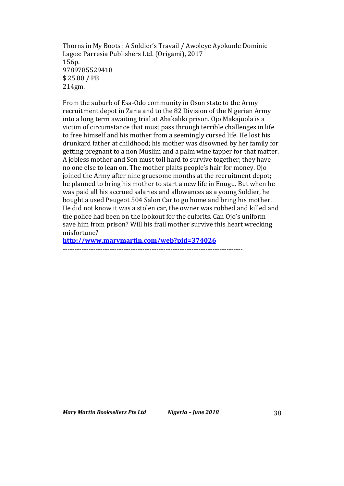Thorns in My Boots : A Soldier's Travail / Awoleye Ayokunle Dominic Lagos: Parresia Publishers Ltd. (Origami), 2017 156p. 9789785529418 \$ 25.00 / PB 214gm.

From the suburb of Esa-Odo community in Osun state to the Army recruitment depot in Zaria and to the 82 Division of the Nigerian Army into a long term awaiting trial at Abakaliki prison. Ojo Makajuola is a victim of circumstance that must pass through terrible challenges in life to free himself and his mother from a seemingly cursed life. He lost his drunkard father at childhood; his mother was disowned by her family for getting pregnant to a non Muslim and a palm wine tapper for that matter. A jobless mother and Son must toil hard to survive together; they have no one else to lean on. The mother plaits people's hair for money. Ojo joined the Army after nine gruesome months at the recruitment depot; he planned to bring his mother to start a new life in Enugu. But when he was paid all his accrued salaries and allowances as a young Soldier, he bought a used Peugeot 504 Salon Car to go home and bring his mother. He did not know it was a stolen car, the owner was robbed and killed and the police had been on the lookout for the culprits. Can Ojo's uniform save him from prison? Will his frail mother survive this heart wrecking misfortune?

**http://www.marymartin.com/web?pid=374026**

**-----------------------------------------------------------------------------**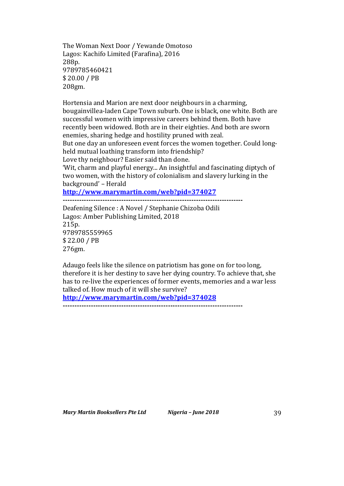The Woman Next Door / Yewande Omotoso Lagos: Kachifo Limited (Farafina), 2016 288p. 9789785460421 \$ 20.00 / PB 208gm.

Hortensia and Marion are next door neighbours in a charming, bougainvillea-laden Cape Town suburb. One is black, one white. Both are successful women with impressive careers behind them. Both have recently been widowed. Both are in their eighties. And both are sworn enemies, sharing hedge and hostility pruned with zeal. But one day an unforeseen event forces the women together. Could longheld mutual loathing transform into friendship?

Love thy neighbour? Easier said than done.

'Wit, charm and playful energy... An insightful and fascinating diptych of two women, with the history of colonialism and slavery lurking in the background' - Herald

**http://www.marymartin.com/web?pid=374027**

**-----------------------------------------------------------------------------** Deafening Silence : A Novel / Stephanie Chizoba Odili Lagos: Amber Publishing Limited, 2018 215p. 9789785559965 \$ 22.00 / PB 276gm.

Adaugo feels like the silence on patriotism has gone on for too long, therefore it is her destiny to save her dying country. To achieve that, she has to re-live the experiences of former events, memories and a war less talked of. How much of it will she survive?

**http://www.marymartin.com/web?pid=374028**

**-----------------------------------------------------------------------------**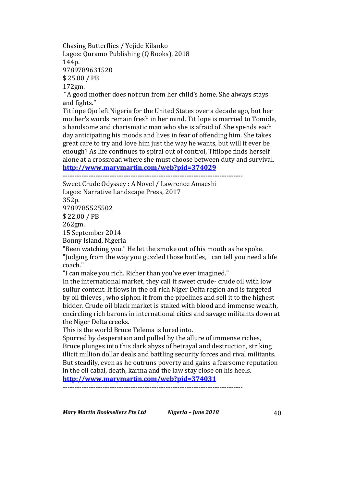Chasing Butterflies / Yejide Kilanko Lagos: Quramo Publishing (Q Books), 2018 144p. 9789789631520 \$ 25.00 / PB 172gm.

"A good mother does not run from her child's home. She always stays and fights."

Titilope Ojo left Nigeria for the United States over a decade ago, but her mother's words remain fresh in her mind. Titilope is married to Tomide, a handsome and charismatic man who she is afraid of. She spends each day anticipating his moods and lives in fear of offending him. She takes great care to try and love him just the way he wants, but will it ever be enough? As life continues to spiral out of control. Titilope finds herself alone at a crossroad where she must choose between duty and survival. **http://www.marymartin.com/web?pid=374029**

**-----------------------------------------------------------------------------**

Sweet Crude Odyssey : A Novel / Lawrence Amaeshi Lagos: Narrative Landscape Press, 2017

352p. 9789785525502 \$ 22.00 / PB 262gm. 15 September 2014 Bonny Island, Nigeria

"Been watching you." He let the smoke out of his mouth as he spoke. "Judging from the way you guzzled those bottles, i can tell you need a life coach."

"I can make you rich. Richer than you've ever imagined."

In the international market, they call it sweet crude- crude oil with low sulfur content. It flows in the oil rich Niger Delta region and is targeted by oil thieves, who siphon it from the pipelines and sell it to the highest bidder. Crude oil black market is staked with blood and immense wealth, encircling rich barons in international cities and savage militants down at the Niger Delta creeks.

This is the world Bruce Telema is lured into.

Spurred by desperation and pulled by the allure of immense riches, Bruce plunges into this dark abyss of betrayal and destruction, striking illicit million dollar deals and battling security forces and rival militants. But steadily, even as he outruns poverty and gains a fearsome reputation in the oil cabal, death, karma and the law stay close on his heels.

**http://www.marymartin.com/web?pid=374031 -----------------------------------------------------------------------------**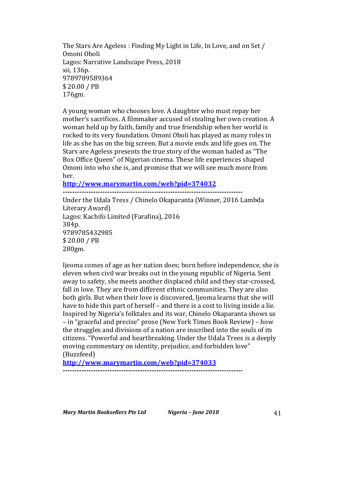The Stars Are Ageless: Finding My Light in Life, In Love, and on Set / Omoni Oboli Lagos: Narrative Landscape Press, 2018 xii, 136p. 9789789589364 \$ 20.00 / PB 176gm.

A young woman who chooses love. A daughter who must repay her mother's sacrifices. A filmmaker accused of stealing her own creation. A woman held up by faith, family and true friendship when her world is rocked to its very foundation. Omoni Oboli has played as many roles in life as she has on the big screen. But a movie ends and life goes on. The Stars are Ageless presents the true story of the woman hailed as "The Box Office Queen" of Nigerian cinema. These life experiences shaped Omoni into who she is, and promise that we will see much more from her.

**http://www.marymartin.com/web?pid=374032**

**-----------------------------------------------------------------------------** Under the Udala Tress / Chinelo Okaparanta (Winner, 2016 Lambda Literary Award) Lagos: Kachifo Limited (Farafina), 2016 384p. 9789785432985 \$ 20.00 / PB 280gm.

lieoma comes of age as her nation does; born before independence, she is eleven when civil war breaks out in the young republic of Nigeria. Sent away to safety, she meets another displaced child and they star-crossed. fall in love. They are from different ethnic communities. They are also both girls. But when their love is discovered, Ijeoma learns that she will have to hide this part of herself – and there is a cost to living inside a lie. Inspired by Nigeria's folktales and its war. Chinelo Okaparanta shows us – in "graceful and precise" prose (New York Times Book Review) – how the struggles and divisions of a nation are inscribed into the souls of its citizens. "Powerful and heartbreaking. Under the Udala Trees is a deeply moving commentary on identity, prejudice, and forbidden love" (Buzzfeed)

**http://www.marymartin.com/web?pid=374033**

**-----------------------------------------------------------------------------**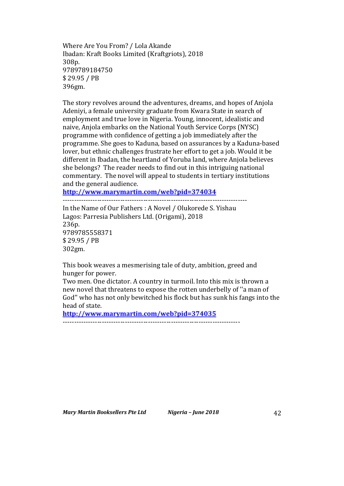Where Are You From? / Lola Akande Ibadan: Kraft Books Limited (Kraftgriots), 2018 308p. 9789789184750 \$ 29.95 / PB 396gm.

The story revolves around the adventures, dreams, and hopes of Anjola Adeniyi, a female university graduate from Kwara State in search of employment and true love in Nigeria. Young, innocent, idealistic and naive, Anjola embarks on the National Youth Service Corps (NYSC) programme with confidence of getting a job immediately after the programme. She goes to Kaduna, based on assurances by a Kaduna-based lover, but ethnic challenges frustrate her effort to get a job. Would it be different in Ibadan, the heartland of Yoruba land, where Anjola believes she belongs? The reader needs to find out in this intriguing national commentary. The novel will appeal to students in tertiary institutions and the general audience.

**http://www.marymartin.com/web?pid=374034**

In the Name of Our Fathers : A Novel / Olukorede S. Yishau Lagos: Parresia Publishers Ltd. (Origami), 2018 236p. 9789785558371 \$ 29.95 / PB 302gm.

--------------------------------------------------------------------------------

This book weaves a mesmerising tale of duty, ambition, greed and hunger for power.

Two men. One dictator. A country in turmoil. Into this mix is thrown a new novel that threatens to expose the rotten underbelly of "a man of God" who has not only bewitched his flock but has sunk his fangs into the head of state.

**http://www.marymartin.com/web?pid=374035**

-----------------------------------------------------------------------------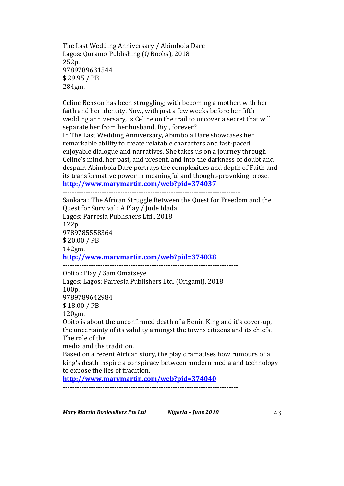The Last Wedding Anniversary / Abimbola Dare Lagos: Quramo Publishing (Q Books), 2018 252p. 9789789631544 \$ 29.95 / PB 284gm.

Celine Benson has been struggling; with becoming a mother, with her faith and her identity. Now, with just a few weeks before her fifth wedding anniversary, is Celine on the trail to uncover a secret that will separate her from her husband, Biyi, forever? In The Last Wedding Anniversary, Abimbola Dare showcases her remarkable ability to create relatable characters and fast-paced enjoyable dialogue and narratives. She takes us on a journey through Celine's mind, her past, and present, and into the darkness of doubt and despair. Abimbola Dare portrays the complexities and depth of Faith and

its transformative power in meaningful and thought-provoking prose. **http://www.marymartin.com/web?pid=374037**

-----------------------------------------------------------------------------

Sankara: The African Struggle Between the Quest for Freedom and the Quest for Survival : A Play / Jude Idada Lagos: Parresia Publishers Ltd., 2018 122p. 9789785558364 \$ 20.00 / PB 142gm. **http://www.marymartin.com/web?pid=374038 ---------------------------------------------------------------------------** Obito: Play / Sam Omatseye Lagos: Lagos: Parresia Publishers Ltd. (Origami), 2018 100p. 9789789642984 \$ 18.00 / PB 120gm. Obito is about the unconfirmed death of a Benin King and it's cover-up. the uncertainty of its validity amongst the towns citizens and its chiefs. The role of the media and the tradition. Based on a recent African story, the play dramatises how rumours of a king's death inspire a conspiracy between modern media and technology to expose the lies of tradition. **http://www.marymartin.com/web?pid=374040**

**---------------------------------------------------------------------------**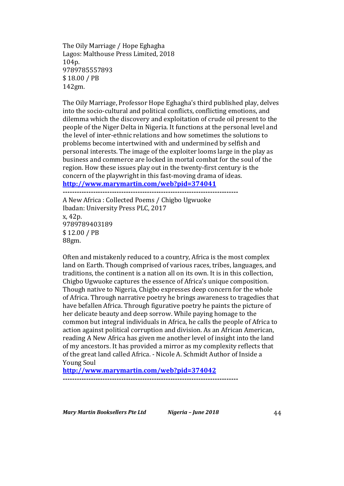The Oily Marriage / Hope Eghagha Lagos: Malthouse Press Limited, 2018 104p. 9789785557893 \$ 18.00 / PB 142gm.

The Oily Marriage, Professor Hope Eghagha's third published play, delves into the socio-cultural and political conflicts, conflicting emotions, and dilemma which the discovery and exploitation of crude oil present to the people of the Niger Delta in Nigeria. It functions at the personal level and the level of inter-ethnic relations and how sometimes the solutions to problems become intertwined with and undermined by selfish and personal interests. The image of the exploiter looms large in the play as business and commerce are locked in mortal combat for the soul of the region. How these issues play out in the twenty-first century is the concern of the playwright in this fast-moving drama of ideas. **http://www.marymartin.com/web?pid=374041**

**---------------------------------------------------------------------------** A New Africa : Collected Poems / Chigbo Ugwuoke Ibadan: University Press PLC, 2017 x, 42p. 9789789403189 \$ 12.00 / PB 88gm.

Often and mistakenly reduced to a country, Africa is the most complex land on Earth. Though comprised of various races, tribes, languages, and traditions, the continent is a nation all on its own. It is in this collection, Chigbo Ugwuoke captures the essence of Africa's unique composition. Though native to Nigeria, Chigbo expresses deep concern for the whole of Africa. Through narrative poetry he brings awareness to tragedies that have befallen Africa. Through figurative poetry he paints the picture of her delicate beauty and deep sorrow. While paying homage to the common but integral individuals in Africa, he calls the people of Africa to action against political corruption and division. As an African American, reading A New Africa has given me another level of insight into the land of my ancestors. It has provided a mirror as my complexity reflects that of the great land called Africa. - Nicole A. Schmidt Author of Inside a **Young Soul** 

**http://www.marymartin.com/web?pid=374042**

**---------------------------------------------------------------------------**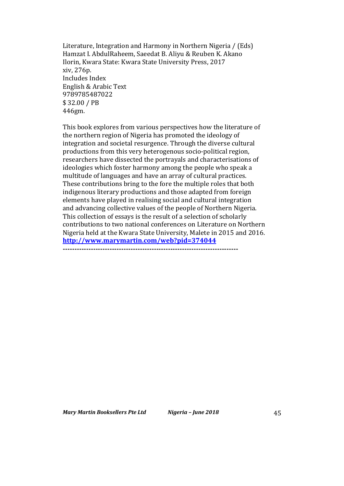Literature, Integration and Harmony in Northern Nigeria / (Eds) Hamzat I. AbdulRaheem, Saeedat B. Aliyu & Reuben K. Akano Ilorin, Kwara State: Kwara State University Press, 2017 xiv, 276p. Includes Index English & Arabic Text 9789785487022 \$ 32.00 / PB 446gm.

This book explores from various perspectives how the literature of the northern region of Nigeria has promoted the ideology of integration and societal resurgence. Through the diverse cultural productions from this very heterogenous socio-political region, researchers have dissected the portrayals and characterisations of ideologies which foster harmony among the people who speak a multitude of languages and have an array of cultural practices. These contributions bring to the fore the multiple roles that both indigenous literary productions and those adapted from foreign elements have played in realising social and cultural integration and advancing collective values of the people of Northern Nigeria. This collection of essays is the result of a selection of scholarly contributions to two national conferences on Literature on Northern Nigeria held at the Kwara State University, Malete in 2015 and 2016. **http://www.marymartin.com/web?pid=374044 ---------------------------------------------------------------------------**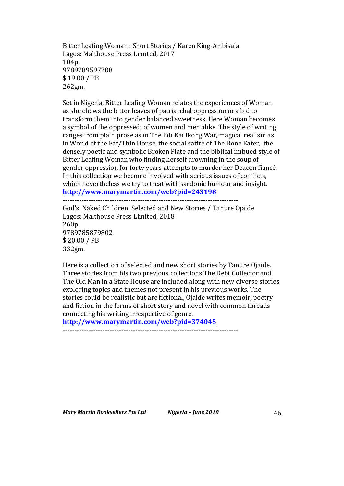Bitter Leafing Woman: Short Stories / Karen King-Aribisala Lagos: Malthouse Press Limited, 2017 104p. 9789789597208 \$ 19.00 / PB 262gm.

Set in Nigeria, Bitter Leafing Woman relates the experiences of Woman as she chews the bitter leaves of patriarchal oppression in a bid to transform them into gender balanced sweetness. Here Woman becomes a symbol of the oppressed; of women and men alike. The style of writing ranges from plain prose as in The Edi Kai Ikong War, magical realism as in World of the Fat/Thin House, the social satire of The Bone Eater, the densely poetic and symbolic Broken Plate and the biblical imbued style of Bitter Leafing Woman who finding herself drowning in the soup of gender oppression for forty years attempts to murder her Deacon fiancé. In this collection we become involved with serious issues of conflicts, which nevertheless we try to treat with sardonic humour and insight. **http://www.marymartin.com/web?pid=243198**

**---------------------------------------------------------------------------**

God's Naked Children: Selected and New Stories / Tanure Ojaide Lagos: Malthouse Press Limited, 2018 260p. 9789785879802 \$ 20.00 / PB 332gm.

Here is a collection of selected and new short stories by Tanure Ojaide. Three stories from his two previous collections The Debt Collector and The Old Man in a State House are included along with new diverse stories exploring topics and themes not present in his previous works. The stories could be realistic but are fictional, Ojaide writes memoir, poetry and fiction in the forms of short story and novel with common threads connecting his writing irrespective of genre.

**http://www.marymartin.com/web?pid=374045**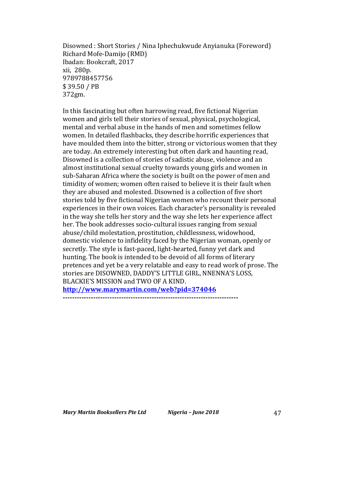Disowned : Short Stories / Nina Iphechukwude Anyianuka (Foreword) Richard Mofe-Damijo (RMD) Ibadan: Bookcraft, 2017 xii, 280p. 9789788457756 \$ 39.50 / PB 372gm.

In this fascinating but often harrowing read, five fictional Nigerian women and girls tell their stories of sexual, physical, psychological, mental and verbal abuse in the hands of men and sometimes fellow women. In detailed flashbacks, they describe horrific experiences that have moulded them into the bitter, strong or victorious women that they are today. An extremely interesting but often dark and haunting read, Disowned is a collection of stories of sadistic abuse, violence and an almost institutional sexual cruelty towards young girls and women in sub-Saharan Africa where the society is built on the power of men and timidity of women; women often raised to believe it is their fault when they are abused and molested. Disowned is a collection of five short stories told by five fictional Nigerian women who recount their personal experiences in their own voices. Each character's personality is revealed in the way she tells her story and the way she lets her experience affect her. The book addresses socio-cultural issues ranging from sexual abuse/child molestation, prostitution, childlessness, widowhood, domestic violence to infidelity faced by the Nigerian woman, openly or secretly. The style is fast-paced, light-hearted, funny yet dark and hunting. The book is intended to be devoid of all forms of literary pretences and yet be a very relatable and easy to read work of prose. The stories are DISOWNED, DADDY'S LITTLE GIRL, NNENNA'S LOSS, BLACKIE'S MISSION and TWO OF A KIND. **http://www.marymartin.com/web?pid=374046**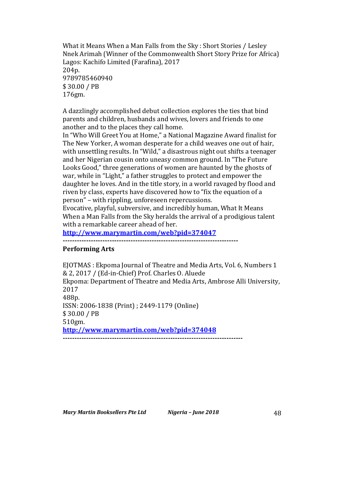What it Means When a Man Falls from the Sky: Short Stories / Lesley Nnek Arimah (Winner of the Commonwealth Short Story Prize for Africa) Lagos: Kachifo Limited (Farafina), 2017 204p. 9789785460940 \$ 30.00 / PB 176gm.

A dazzlingly accomplished debut collection explores the ties that bind parents and children, husbands and wives, lovers and friends to one another and to the places they call home.

In "Who Will Greet You at Home," a National Magazine Award finalist for The New Yorker, A woman desperate for a child weaves one out of hair, with unsettling results. In "Wild," a disastrous night out shifts a teenager and her Nigerian cousin onto uneasy common ground. In "The Future Looks Good," three generations of women are haunted by the ghosts of war, while in "Light," a father struggles to protect and empower the daughter he loves. And in the title story, in a world ravaged by flood and riven by class, experts have discovered how to "fix the equation of a person" – with rippling, unforeseen repercussions.

Evocative, playful, subversive, and incredibly human, What It Means When a Man Falls from the Sky heralds the arrival of a prodigious talent with a remarkable career ahead of her.

**http://www.marymartin.com/web?pid=374047**

**---------------------------------------------------------------------------**

### **Performing Arts**

EJOTMAS : Ekpoma Journal of Theatre and Media Arts, Vol. 6, Numbers 1 & 2, 2017 / (Ed-in-Chief) Prof. Charles O. Aluede Ekpoma: Department of Theatre and Media Arts, Ambrose Alli University, 2017 488p. ISSN: 2006-1838 (Print) ; 2449-1179 (Online) \$ 30.00 / PB 510gm. **http://www.marymartin.com/web?pid=374048 -----------------------------------------------------------------------------**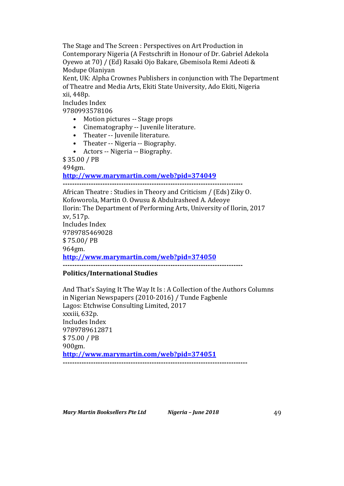The Stage and The Screen : Perspectives on Art Production in Contemporary Nigeria (A Festschrift in Honour of Dr. Gabriel Adekola Oyewo at 70) / (Ed) Rasaki Ojo Bakare, Gbemisola Remi Adeoti & Modupe Olaniyan

Kent, UK: Alpha Crownes Publishers in conjunction with The Department of Theatre and Media Arts, Ekiti State University, Ado Ekiti, Nigeria xii, 448p.

Includes Index

9780993578106

- Motion pictures -- Stage props
- Cinematography -- Juvenile literature.
- Theater -- Juvenile literature.
- Theater -- Nigeria -- Biography.
- Actors -- Nigeria -- Biography.

\$ 35.00 / PB

494gm.

### **http://www.marymartin.com/web?pid=374049**

**-----------------------------------------------------------------------------**

African Theatre: Studies in Theory and Criticism / (Eds) Ziky O. Kofoworola, Martin O. Owusu & Abdulrasheed A. Adeoye Ilorin: The Department of Performing Arts, University of Ilorin, 2017 xv, 517p. Includes Index 9789785469028 \$ 75.00/ PB 964gm. **http://www.marymartin.com/web?pid=374050**

**-----------------------------------------------------------------------------**

# **Politics/International Studies**

And That's Saying It The Way It Is: A Collection of the Authors Columns in Nigerian Newspapers (2010-2016) / Tunde Fagbenle Lagos: Etchwise Consulting Limited, 2017 xxxiii, 632p. Includes Index 9789789612871 \$ 75.00 / PB 900gm. **http://www.marymartin.com/web?pid=374051 -------------------------------------------------------------------------------**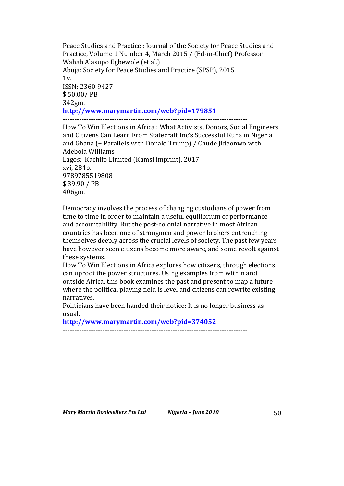Peace Studies and Practice : Journal of the Society for Peace Studies and Practice, Volume 1 Number 4, March 2015 / (Ed-in-Chief) Professor Wahab Alasupo Egbewole (et al.) Abuja: Society for Peace Studies and Practice (SPSP), 2015  $1v.$ ISSN: 2360-9427 \$ 50.00/ PB 342gm. **http://www.marymartin.com/web?pid=179851 -------------------------------------------------------------------------------**

How To Win Elections in Africa : What Activists, Donors, Social Engineers and Citizens Can Learn From Statecraft Inc's Successful Runs in Nigeria and Ghana (+ Parallels with Donald Trump) / Chude Jideonwo with Adebola Williams Lagos: Kachifo Limited (Kamsi imprint), 2017 xvi, 284p. 9789785519808 \$ 39.90 / PB 406gm.

Democracy involves the process of changing custodians of power from time to time in order to maintain a useful equilibrium of performance and accountability. But the post-colonial narrative in most African countries has been one of strongmen and power brokers entrenching themselves deeply across the crucial levels of society. The past few years have however seen citizens become more aware, and some revolt against these systems.

How To Win Elections in Africa explores how citizens, through elections can uproot the power structures. Using examples from within and outside Africa, this book examines the past and present to map a future where the political playing field is level and citizens can rewrite existing narratives.

Politicians have been handed their notice: It is no longer business as usual.

**http://www.marymartin.com/web?pid=374052**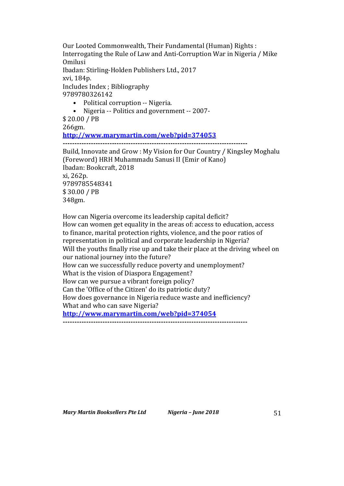Our Looted Commonwealth, Their Fundamental (Human) Rights : Interrogating the Rule of Law and Anti-Corruption War in Nigeria / Mike Omilusi Ibadan: Stirling-Holden Publishers Ltd., 2017 xvi, 184p. Includes Index ; Bibliography 9789780326142

- Political corruption -- Nigeria.
- Nigeria -- Politics and government -- 2007-

\$ 20.00 / PB 266gm. **http://www.marymartin.com/web?pid=374053 -------------------------------------------------------------------------------** Build, Innovate and Grow : My Vision for Our Country / Kingsley Moghalu (Foreword) HRH Muhammadu Sanusi II (Emir of Kano) Ibadan: Bookcraft, 2018 xi, 262p. 9789785548341 \$ 30.00 / PB 348gm.

How can Nigeria overcome its leadership capital deficit? How can women get equality in the areas of: access to education, access to finance, marital protection rights, violence, and the poor ratios of representation in political and corporate leadership in Nigeria? Will the youths finally rise up and take their place at the driving wheel on our national journey into the future? How can we successfully reduce poverty and unemployment? What is the vision of Diaspora Engagement? How can we pursue a vibrant foreign policy? Can the 'Office of the Citizen' do its patriotic duty? How does governance in Nigeria reduce waste and inefficiency? What and who can save Nigeria? **http://www.marymartin.com/web?pid=374054**

**-------------------------------------------------------------------------------**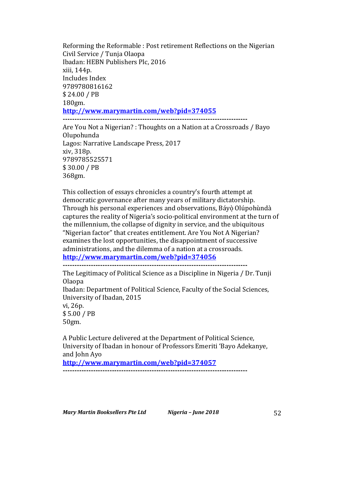Reforming the Reformable : Post retirement Reflections on the Nigerian Civil Service / Tunja Olaopa Ibadan: HEBN Publishers Plc, 2016 xiii, 144p. Includes Index 9789780816162 \$ 24.00 / PB 180gm. **http://www.marymartin.com/web?pid=374055 -------------------------------------------------------------------------------**

Are You Not a Nigerian? : Thoughts on a Nation at a Crossroads / Bayo Olupohunda Lagos: Narrative Landscape Press, 2017 xiv, 318p. 9789785525571 \$ 30.00 / PB 368gm.

This collection of essays chronicles a country's fourth attempt at democratic governance after many years of military dictatorship. Through his personal experiences and observations, Báyọ̀ Olúpohùndà captures the reality of Nigeria's socio-political environment at the turn of the millennium, the collapse of dignity in service, and the ubiquitous "Nigerian factor" that creates entitlement. Are You Not A Nigerian? examines the lost opportunities, the disappointment of successive administrations, and the dilemma of a nation at a crossroads. **http://www.marymartin.com/web?pid=374056**

**-------------------------------------------------------------------------------**

The Legitimacy of Political Science as a Discipline in Nigeria / Dr. Tunji Olaopa Ibadan: Department of Political Science, Faculty of the Social Sciences, University of Ibadan, 2015 vi, 26p. \$ 5.00 / PB 50gm.

A Public Lecture delivered at the Department of Political Science, University of Ibadan in honour of Professors Emeriti 'Bayo Adekanye, and John Ayo

**http://www.marymartin.com/web?pid=374057 -------------------------------------------------------------------------------**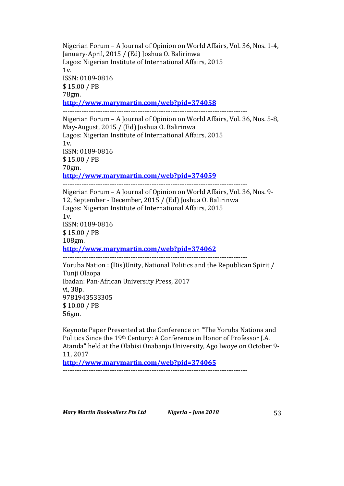Nigerian Forum – A Journal of Opinion on World Affairs, Vol. 36, Nos. 1-4, January-April, 2015 / (Ed) Joshua O. Balirinwa Lagos: Nigerian Institute of International Affairs, 2015 1v. ISSN: 0189-0816 \$ 15.00 / PB 78gm. **http://www.marymartin.com/web?pid=374058 -------------------------------------------------------------------------------** Nigerian Forum – A Journal of Opinion on World Affairs, Vol. 36, Nos. 5-8, May-August, 2015 / (Ed) Joshua O. Balirinwa Lagos: Nigerian Institute of International Affairs, 2015  $1v<sub>l</sub>$ ISSN: 0189-0816 \$ 15.00 / PB 70gm. **http://www.marymartin.com/web?pid=374059 -------------------------------------------------------------------------------** Nigerian Forum – A Journal of Opinion on World Affairs, Vol. 36, Nos. 9-12, September - December, 2015 / (Ed) Joshua O. Balirinwa Lagos: Nigerian Institute of International Affairs, 2015  $1v.$ ISSN: 0189-0816 \$ 15.00 / PB 108gm. **http://www.marymartin.com/web?pid=374062 -------------------------------------------------------------------------------** Yoruba Nation : (Dis)Unity, National Politics and the Republican Spirit / Tunji Olaopa Ibadan: Pan-African University Press, 2017 vi, 38p. 9781943533305 \$ 10.00 / PB 56gm.

Keynote Paper Presented at the Conference on "The Yoruba Nationa and Politics Since the 19<sup>th</sup> Century: A Conference in Honor of Professor J.A. Atanda" held at the Olabisi Onabanjo University, Ago Iwoye on October 9-11, 2017

**http://www.marymartin.com/web?pid=374065 -------------------------------------------------------------------------------**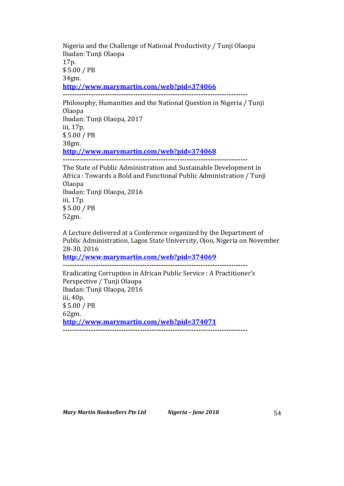Nigeria and the Challenge of National Productivity / Tunji Olaopa Ibadan: Tunji Olaopa 17p. \$ 5.00 / PB 34gm. **http://www.marymartin.com/web?pid=374066 -------------------------------------------------------------------------------**

Philosophy, Humanities and the National Question in Nigeria / Tunji Olaopa Ibadan: Tunji Olaopa, 2017 iii, 17p. \$ 5.00 / PB 38gm. **http://www.marymartin.com/web?pid=374068 -------------------------------------------------------------------------------**

The State of Public Administration and Sustainable Development in Africa : Towards a Bold and Functional Public Administration / Tunji Olaopa Ibadan: Tunji Olaopa, 2016 iii, 17p. \$ 5.00 / PB 52gm.

A Lecture delivered at a Conference organized by the Department of Public Administration, Lagos State University, Ojoo, Nigeria on November 28-30, 2016

**http://www.marymartin.com/web?pid=374069**

**-------------------------------------------------------------------------------**

Eradicating Corruption in African Public Service : A Practitioner's Perspective / Tunji Olaopa Ibadan: Tunji Olaopa, 2016 iii, 40p. \$ 5.00 / PB 62gm. **http://www.marymartin.com/web?pid=374071 -------------------------------------------------------------------------------**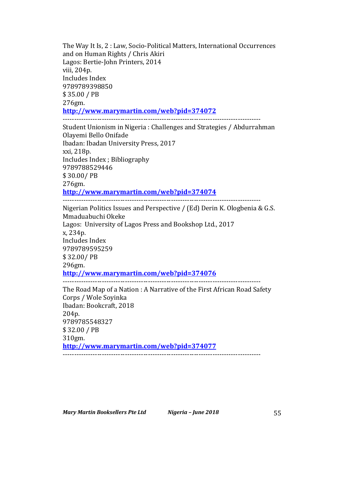The Way It Is, 2 : Law, Socio-Political Matters, International Occurrences and on Human Rights / Chris Akiri Lagos: Bertie-John Printers, 2014 viii, 204p. Includes Index 9789789398850 \$ 35.00 / PB 276gm. **http://www.marymartin.com/web?pid=374072** --------------------------------------------------------------------------------------

Student Unionism in Nigeria : Challenges and Strategies / Abdurrahman Olayemi Bello Onifade Ibadan: Ibadan University Press, 2017 xxi, 218p. Includes Index ; Bibliography 9789788529446 \$ 30.00/ PB 276gm. **http://www.marymartin.com/web?pid=374074**

-------------------------------------------------------------------------------------- Nigerian Politics Issues and Perspective  $/$  (Ed) Derin K. Ologbenia & G.S. Mmaduabuchi Okeke Lagos: University of Lagos Press and Bookshop Ltd., 2017 x, 234p. Includes Index 9789789595259 \$ 32.00/ PB 296gm. **http://www.marymartin.com/web?pid=374076** --------------------------------------------------------------------------------------

The Road Map of a Nation : A Narrative of the First African Road Safety Corps / Wole Soyinka Ibadan: Bookcraft, 2018 204p. 9789785548327 \$ 32.00 / PB 310gm. **http://www.marymartin.com/web?pid=374077** --------------------------------------------------------------------------------------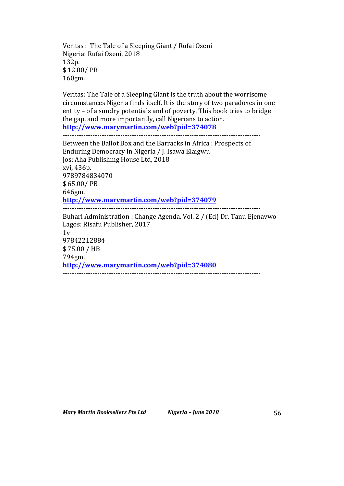Veritas : The Tale of a Sleeping Giant / Rufai Oseni Nigeria: Rufai Oseni, 2018 132p. \$ 12.00/ PB 160gm.

Veritas: The Tale of a Sleeping Giant is the truth about the worrisome circumstances Nigeria finds itself. It is the story of two paradoxes in one entity  $-$  of a sundry potentials and of poverty. This book tries to bridge the gap, and more importantly, call Nigerians to action. **http://www.marymartin.com/web?pid=374078**

--------------------------------------------------------------------------------------

Between the Ballot Box and the Barracks in Africa : Prospects of Enduring Democracy in Nigeria / J. Isawa Elaigwu Jos: Aha Publishing House Ltd, 2018 xvi, 436p. 9789784834070 \$ 65.00/ PB 646gm. **http://www.marymartin.com/web?pid=374079** -------------------------------------------------------------------------------------- Buhari Administration : Change Agenda, Vol. 2 / (Ed) Dr. Tanu Ejenavwo Lagos: Risafu Publisher, 2017  $1v$ 97842212884 \$ 75.00 / HB 794gm. **http://www.marymartin.com/web?pid=374080** --------------------------------------------------------------------------------------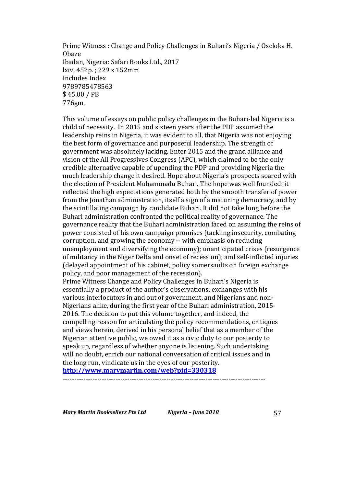Prime Witness: Change and Policy Challenges in Buhari's Nigeria / Oseloka H. Obaze Ibadan, Nigeria: Safari Books Ltd., 2017 lxiv, 452p. ; 229 x 152mm Includes Index 9789785478563 \$ 45.00 / PB 776gm.

This volume of essays on public policy challenges in the Buhari-led Nigeria is a child of necessity. In 2015 and sixteen years after the PDP assumed the leadership reins in Nigeria, it was evident to all, that Nigeria was not enjoying the best form of governance and purposeful leadership. The strength of government was absolutely lacking. Enter 2015 and the grand alliance and vision of the All Progressives Congress (APC), which claimed to be the only credible alternative capable of upending the PDP and providing Nigeria the much leadership change it desired. Hope about Nigeria's prospects soared with the election of President Muhammadu Buhari. The hope was well founded: it reflected the high expectations generated both by the smooth transfer of power from the Jonathan administration, itself a sign of a maturing democracy, and by the scintillating campaign by candidate Buhari. It did not take long before the Buhari administration confronted the political reality of governance. The governance reality that the Buhari administration faced on assuming the reins of power consisted of his own campaign promises (tackling insecurity, combating corruption, and growing the economy -- with emphasis on reducing unemployment and diversifying the economy); unanticipated crises (resurgence of militancy in the Niger Delta and onset of recession); and self-inflicted injuries (delayed appointment of his cabinet, policy somersaults on foreign exchange policy, and poor management of the recession). Prime Witness Change and Policy Challenges in Buhari's Nigeria is essentially a product of the author's observations, exchanges with his various interlocutors in and out of government, and Nigerians and non-Nigerians alike, during the first year of the Buhari administration, 2015-2016. The decision to put this volume together, and indeed, the compelling reason for articulating the policy recommendations, critiques and views herein, derived in his personal belief that as a member of the Nigerian attentive public, we owed it as a civic duty to our posterity to speak up, regardless of whether anyone is listening. Such undertaking will no doubt, enrich our national conversation of critical issues and in

the long run, vindicate us in the eyes of our posterity. **http://www.marymartin.com/web?pid=330318**

<sup>----------------------------------------------------------------------------------------</sup>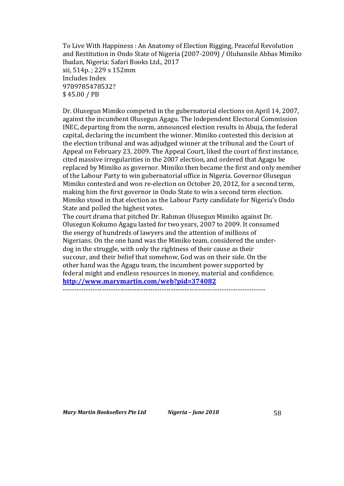To Live With Happiness: An Anatomy of Election Rigging, Peaceful Revolution and Restitution in Ondo State of Nigeria (2007-2009) / Olubansile Abbas Mimiko Ibadan, Nigeria: Safari Books Ltd., 2017 xii, 514p.; 229 x 152mm Includes Index 9789785478532? \$ 45.00 / PB

Dr. Olusegun Mimiko competed in the gubernatorial elections on April 14, 2007, against the incumbent Olusegun Agagu. The Independent Electoral Commission INEC, departing from the norm, announced election results in Abuja, the federal capital, declaring the incumbent the winner. Mimiko contested this decision at the election tribunal and was adjudged winner at the tribunal and the Court of Appeal on February 23, 2009. The Appeal Court, liked the court of first instance, cited massive irregularities in the 2007 election, and ordered that Agagu be replaced by Mimiko as governor. Mimiko then became the first and only member of the Labour Party to win gubernatorial office in Nigeria. Governor Olusegun Mimiko contested and won re-election on October 20, 2012, for a second term, making him the first governor in Ondo State to win a second term election. Mimiko stood in that election as the Labour Party candidate for Nigeria's Ondo State and polled the highest votes.

The court drama that pitched Dr. Rahman Olusegun Mimiko against Dr. Olusegun Kokumo Agagu lasted for two years, 2007 to 2009. It consumed the energy of hundreds of lawyers and the attention of millions of Nigerians. On the one hand was the Mimiko team, considered the underdog in the struggle, with only the rightness of their cause as their succour, and their belief that somehow, God was on their side. On the other hand was the Agagu team, the incumbent power supported by federal might and endless resources in money, material and confidence. **http://www.marymartin.com/web?pid=374082**

----------------------------------------------------------------------------------------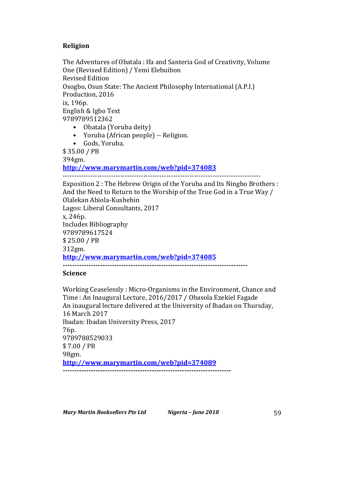# **Religion**

The Adventures of Obatala : Ifa and Santeria God of Creativity, Volume One (Revised Edition) / Yemi Elebuibon Revised Edition Osogbo, Osun State: The Ancient Philosophy International (A.P.I.) Production, 2016 ix, 196p. English & Igbo Text 9789789512362 • Obatala (Yoruba deity) • Yoruba (African people) -- Religion.

• Gods, Yoruba.

\$ 35.00 / PB

394gm.

**http://www.marymartin.com/web?pid=374083**

--------------------------------------------------------------------------------------

Exposition 2 : The Hebrew Origin of the Yoruba and Its Ningbo Brothers : And the Need to Return to the Worship of the True God in a True Way / Olalekan Abiola-Kushehin Lagos: Liberal Consultants, 2017 x, 246p. Includes Bibliography 9789789617524 \$ 25.00 / PB 312gm. **http://www.marymartin.com/web?pid=374085 -------------------------------------------------------------------------------**

# **Science**

Working Ceaselessly: Micro-Organisms in the Environment, Chance and Time : An Inaugural Lecture, 2016/2017 / Obasola Ezekiel Fagade An inaugural lecture delivered at the University of Ibadan on Thursday, 16 March 2017 Ibadan: Ibadan University Press, 2017 76p. 9789788529033 \$ 7.00 / PB 98gm. **http://www.marymartin.com/web?pid=374089 ------------------------------------------------------------------------**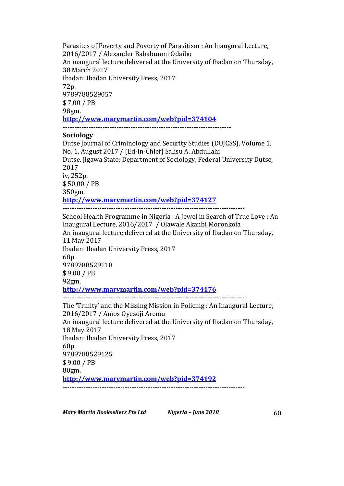Parasites of Poverty and Poverty of Parasitism : An Inaugural Lecture, 2016/2017 / Alexander Bababunmi Odaibo An inaugural lecture delivered at the University of Ibadan on Thursday, 30 March 2017 Ibadan: Ibadan University Press, 2017 72p. 9789788529057 \$ 7.00 / PB 98gm. **http://www.marymartin.com/web?pid=374104 ------------------------------------------------------------------------**

### **Sociology**

Dutse Journal of Criminology and Security Studies (DUJCSS), Volume 1, No. 1, August 2017 / (Ed-in-Chief) Salisu A. Abdullahi Dutse, Jigawa State: Department of Sociology, Federal University Dutse, 2017 iv, 252p. \$ 50.00 / PB 350gm. **http://www.marymartin.com/web?pid=374127** ------------------------------------------------------------------------------- School Health Programme in Nigeria : A Jewel in Search of True Love : An Inaugural Lecture, 2016/2017 / Olawale Akanbi Moronkola An inaugural lecture delivered at the University of Ibadan on Thursday, 11 May 2017 Ibadan: Ibadan University Press, 2017 68p.

9789788529118 \$ 9.00 / PB 92gm. **http://www.marymartin.com/web?pid=374176** -------------------------------------------------------------------------------

The 'Trinity' and the Missing Mission in Policing : An Inaugural Lecture, 2016/2017 / Amos Oyesoji Aremu An inaugural lecture delivered at the University of Ibadan on Thursday, 18 May 2017 Ibadan: Ibadan University Press, 2017 60p. 9789788529125 \$ 9.00 / PB 80gm. **http://www.marymartin.com/web?pid=374192** -------------------------------------------------------------------------------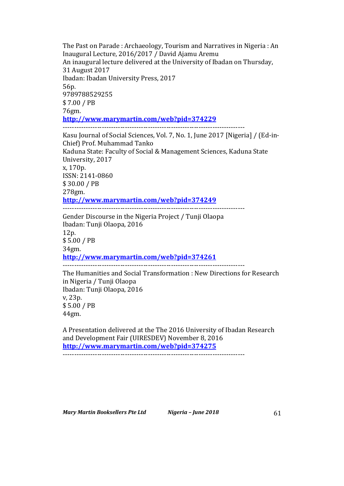The Past on Parade : Archaeology, Tourism and Narratives in Nigeria : An Inaugural Lecture, 2016/2017 / David Ajamu Aremu An inaugural lecture delivered at the University of Ibadan on Thursday, 31 August 2017 Ibadan: Ibadan University Press, 2017 56p. 9789788529255 \$ 7.00 / PB 76gm. **http://www.marymartin.com/web?pid=374229** ------------------------------------------------------------------------------- Kasu Journal of Social Sciences, Vol. 7, No. 1, June 2017 [Nigeria] / (Ed-in-Chief) Prof. Muhammad Tanko Kaduna State: Faculty of Social & Management Sciences, Kaduna State University, 2017 x, 170p. ISSN: 2141-0860 \$ 30.00 / PB 278gm. **http://www.marymartin.com/web?pid=374249** ------------------------------------------------------------------------------- Gender Discourse in the Nigeria Project / Tunji Olaopa Ibadan: Tunji Olaopa, 2016 12p. \$ 5.00 / PB 34gm. **http://www.marymartin.com/web?pid=374261** ------------------------------------------------------------------------------- The Humanities and Social Transformation : New Directions for Research in Nigeria / Tunji Olaopa Ibadan: Tunji Olaopa, 2016 v, 23p. \$ 5.00 / PB 44gm.

A Presentation delivered at the The 2016 University of Ibadan Research and Development Fair (UIRESDEV) November 8, 2016 **http://www.marymartin.com/web?pid=374275**

-------------------------------------------------------------------------------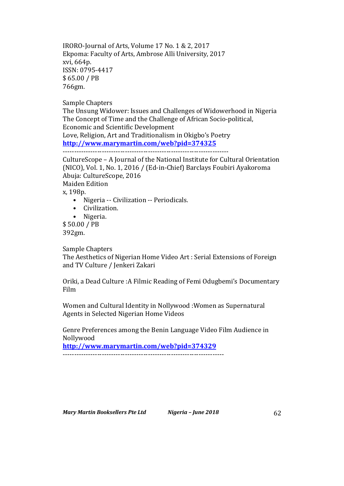IRORO-Journal of Arts, Volume 17 No. 1 & 2, 2017 Ekpoma: Faculty of Arts, Ambrose Alli University, 2017 xvi, 664p. ISSN: 0795-4417 \$ 65.00 / PB 766gm.

Sample Chapters

The Unsung Widower: Issues and Challenges of Widowerhood in Nigeria The Concept of Time and the Challenge of African Socio-political, Economic and Scientific Development Love, Religion, Art and Traditionalism in Okigbo's Poetry **http://www.marymartin.com/web?pid=374325**

------------------------------------------------------------------------

CultureScope – A Journal of the National Institute for Cultural Orientation (NICO), Vol. 1, No. 1, 2016 / (Ed-in-Chief) Barclays Foubiri Ayakoroma Abuja: CultureScope, 2016 Maiden Edition x, 198p. • Nigeria -- Civilization -- Periodicals.

- Civilization.
- Nigeria.

\$ 50.00 / PB 392gm.

Sample Chapters

The Aesthetics of Nigerian Home Video Art : Serial Extensions of Foreign and TV Culture / Jenkeri Zakari

Oriki, a Dead Culture : A Filmic Reading of Femi Odugbemi's Documentary Film 

Women and Cultural Identity in Nollywood : Women as Supernatural Agents in Selected Nigerian Home Videos

Genre Preferences among the Benin Language Video Film Audience in Nollywood

**http://www.marymartin.com/web?pid=374329**

----------------------------------------------------------------------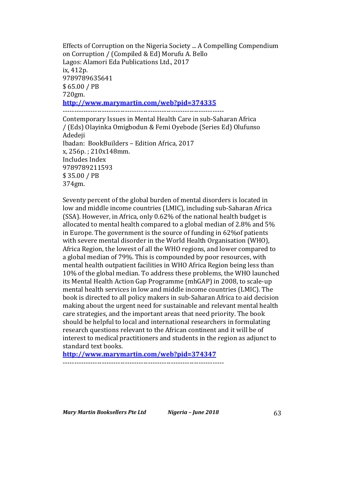Effects of Corruption on the Nigeria Society ... A Compelling Compendium on Corruption / (Compiled & Ed) Morufu A. Bello Lagos: Alamori Eda Publications Ltd., 2017 ix, 412p. 9789789635641 \$ 65.00 / PB 720gm. **http://www.marymartin.com/web?pid=374335**

---------------------------------------------------------------------- Contemporary Issues in Mental Health Care in sub-Saharan Africa / (Eds) Olayinka Omigbodun & Femi Oyebode (Series Ed) Olufunso Adedeji Ibadan: BookBuilders - Edition Africa, 2017  $x. 256p. : 210x148mm.$ Includes Index 9789789211593 \$ 35.00 / PB 374gm.

Seventy percent of the global burden of mental disorders is located in low and middle income countries (LMIC), including sub-Saharan Africa (SSA). However, in Africa, only  $0.62\%$  of the national health budget is allocated to mental health compared to a global median of 2.8% and  $5\%$ in Europe. The government is the source of funding in  $62\%$  of patients with severe mental disorder in the World Health Organisation (WHO), Africa Region, the lowest of all the WHO regions, and lower compared to a global median of 79%. This is compounded by poor resources, with mental health outpatient facilities in WHO Africa Region being less than 10% of the global median. To address these problems, the WHO launched its Mental Health Action Gap Programme (mhGAP) in 2008, to scale-up mental health services in low and middle income countries (LMIC). The book is directed to all policy makers in sub-Saharan Africa to aid decision making about the urgent need for sustainable and relevant mental health care strategies, and the important areas that need priority. The book should be helpful to local and international researchers in formulating research questions relevant to the African continent and it will be of interest to medical practitioners and students in the region as adjunct to standard text books.

**http://www.marymartin.com/web?pid=374347**

----------------------------------------------------------------------